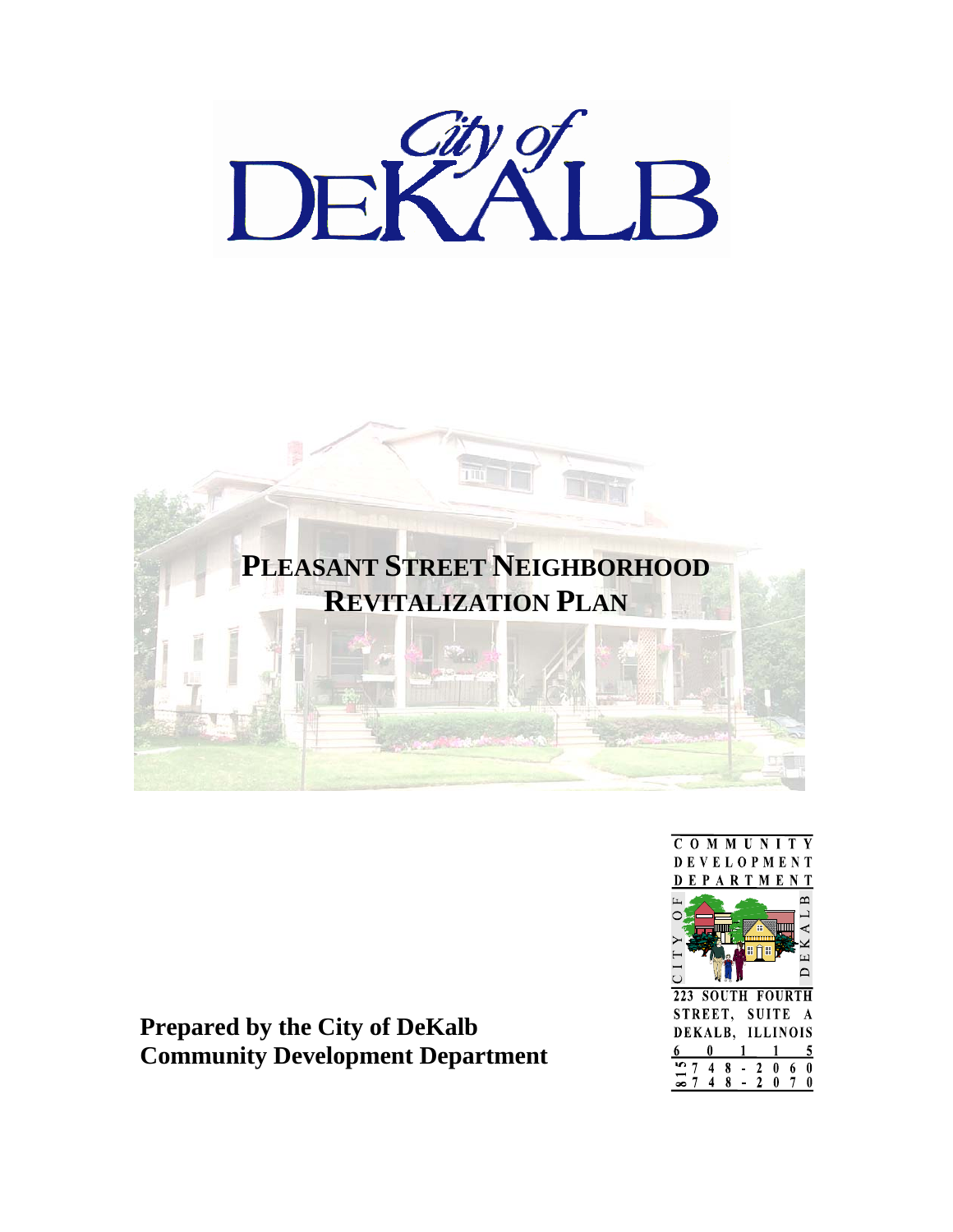



**Prepared by the City of DeKalb Community Development Department** 

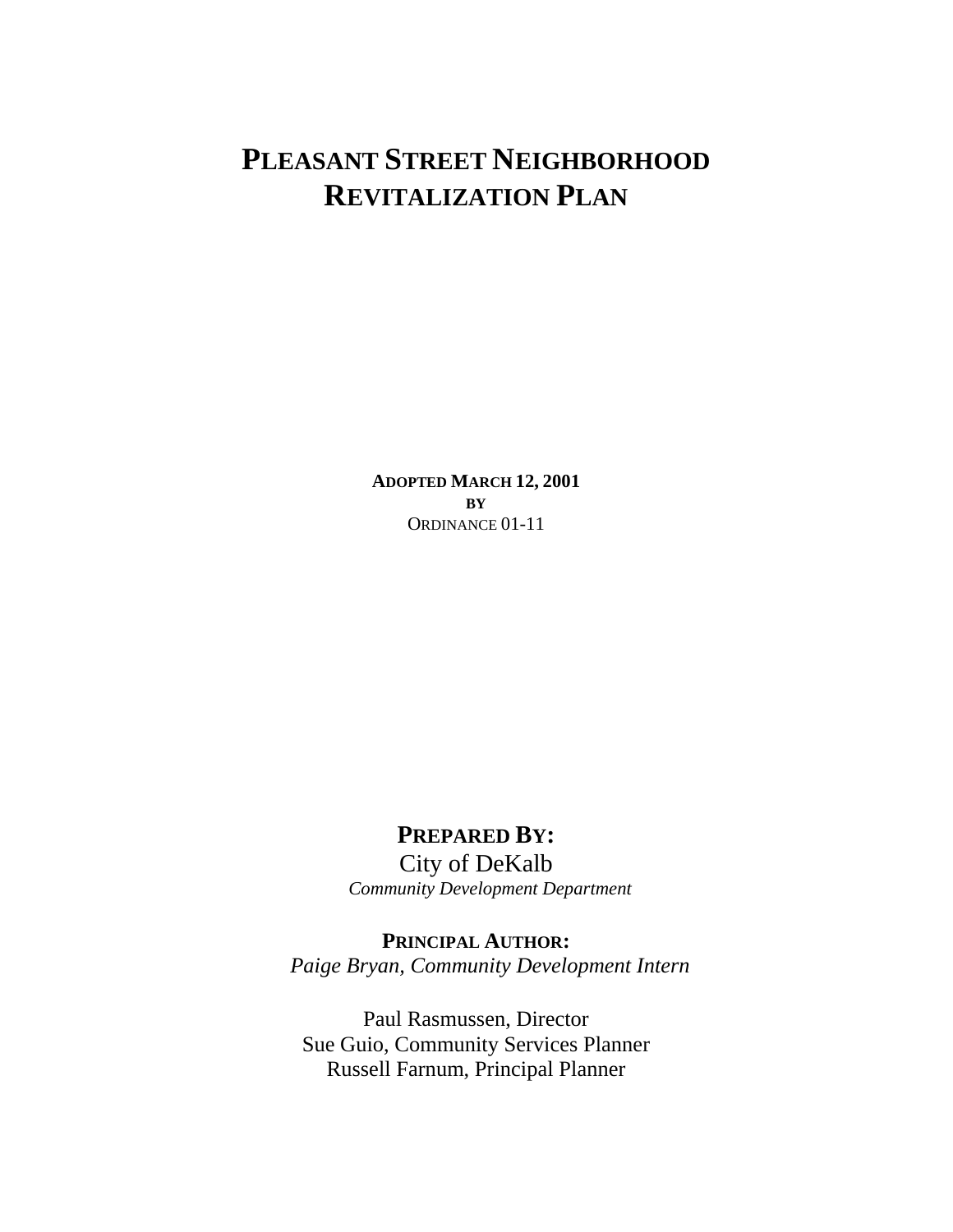# **PLEASANT STREET NEIGHBORHOOD REVITALIZATION PLAN**

**ADOPTED MARCH 12, 2001 BY** ORDINANCE 01-11

## **PREPARED BY:**

City of DeKalb *Community Development Department*

**PRINCIPAL AUTHOR:**  *Paige Bryan, Community Development Intern* 

Paul Rasmussen, Director Sue Guio, Community Services Planner Russell Farnum, Principal Planner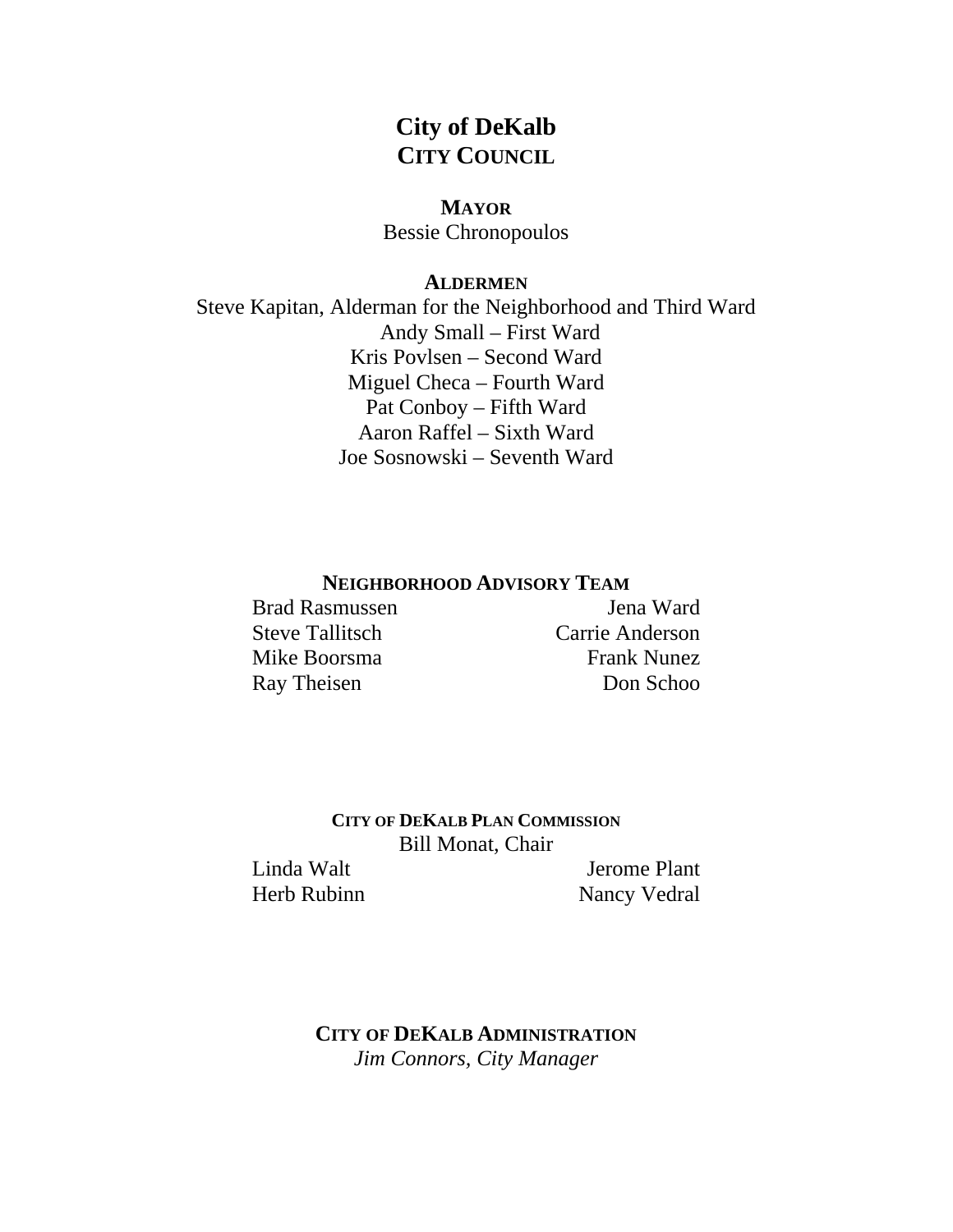## **City of DeKalb CITY COUNCIL**

## **MAYOR**

Bessie Chronopoulos

## **ALDERMEN**

Steve Kapitan, Alderman for the Neighborhood and Third Ward Andy Small – First Ward Kris Povlsen – Second Ward Miguel Checa – Fourth Ward Pat Conboy – Fifth Ward Aaron Raffel – Sixth Ward Joe Sosnowski – Seventh Ward

## **NEIGHBORHOOD ADVISORY TEAM**

Brad Rasmussen Jena Ward

Steve Tallitsch Carrie Anderson Mike Boorsma<br>
Frank Nunez Ray Theisen Don Schoo

> **CITY OF DEKALB PLAN COMMISSION** Bill Monat, Chair

Linda Walt **Jerome Plant** Herb Rubinn Nancy Vedral

> **CITY OF DEKALB ADMINISTRATION** *Jim Connors, City Manager*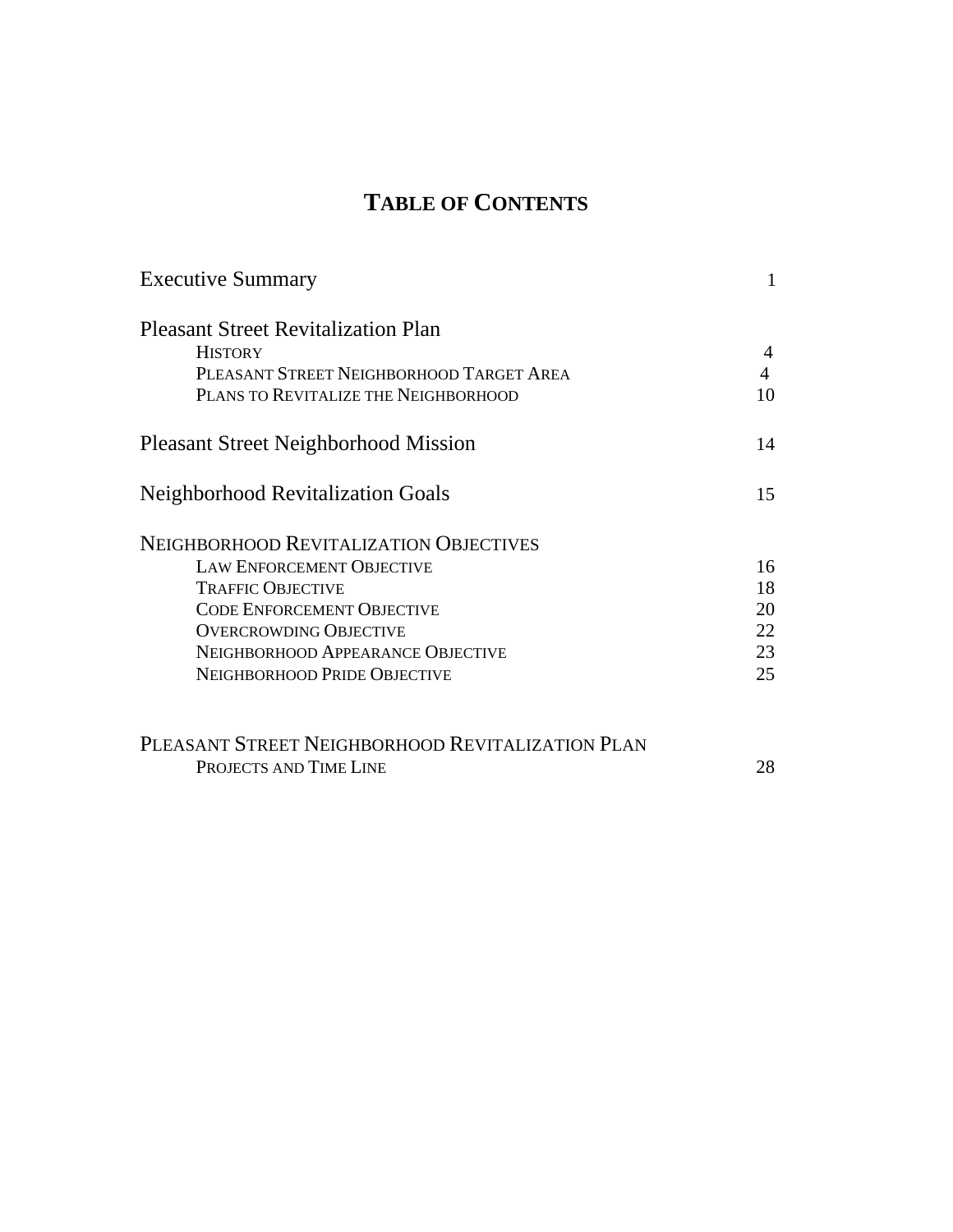# **TABLE OF CONTENTS**

| <b>Executive Summary</b>                    |    |
|---------------------------------------------|----|
| <b>Pleasant Street Revitalization Plan</b>  |    |
| <b>HISTORY</b>                              | 4  |
| PLEASANT STREET NEIGHBORHOOD TARGET AREA    | 4  |
| PLANS TO REVITALIZE THE NEIGHBORHOOD        | 10 |
| <b>Pleasant Street Neighborhood Mission</b> | 14 |
| <b>Neighborhood Revitalization Goals</b>    | 15 |
| NEIGHBORHOOD REVITALIZATION OBJECTIVES      |    |
| <b>LAW ENFORCEMENT OBJECTIVE</b>            | 16 |
| <b>TRAFFIC OBJECTIVE</b>                    | 18 |
| <b>CODE ENFORCEMENT OBJECTIVE</b>           | 20 |
| <b>OVERCROWDING OBJECTIVE</b>               | 22 |
| NEIGHBORHOOD APPEARANCE OBJECTIVE           | 23 |
| NEIGHBORHOOD PRIDE OBJECTIVE                | 25 |
|                                             |    |
|                                             |    |

| PLEASANT STREET NEIGHBORHOOD REVITALIZATION PLAN |  |
|--------------------------------------------------|--|
| PROJECTS AND TIME LINE                           |  |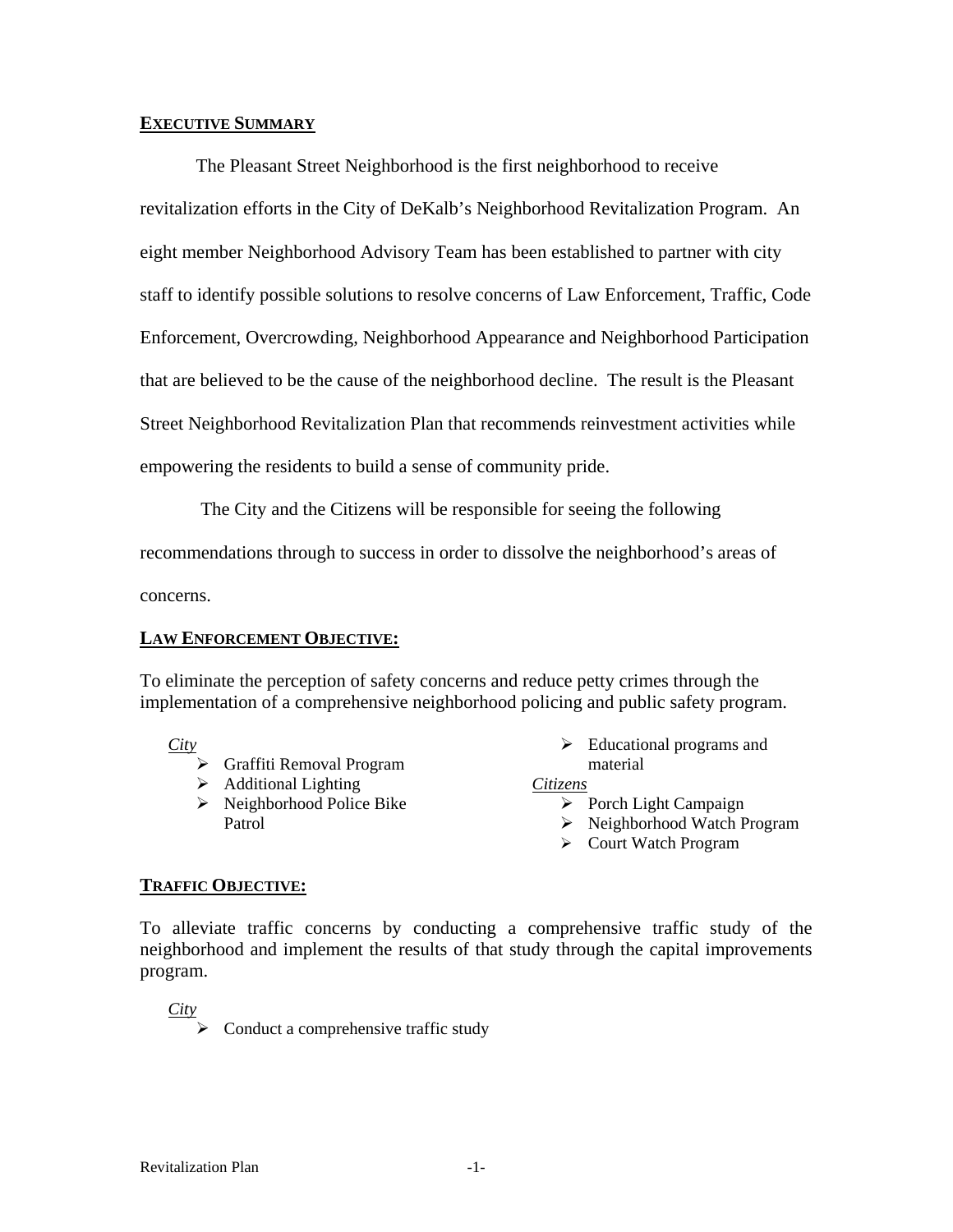### **EXECUTIVE SUMMARY**

The Pleasant Street Neighborhood is the first neighborhood to receive revitalization efforts in the City of DeKalb's Neighborhood Revitalization Program. An eight member Neighborhood Advisory Team has been established to partner with city staff to identify possible solutions to resolve concerns of Law Enforcement, Traffic, Code Enforcement, Overcrowding, Neighborhood Appearance and Neighborhood Participation that are believed to be the cause of the neighborhood decline. The result is the Pleasant Street Neighborhood Revitalization Plan that recommends reinvestment activities while empowering the residents to build a sense of community pride.

 The City and the Citizens will be responsible for seeing the following recommendations through to success in order to dissolve the neighborhood's areas of

concerns.

## **LAW ENFORCEMENT OBJECTIVE:**

To eliminate the perception of safety concerns and reduce petty crimes through the implementation of a comprehensive neighborhood policing and public safety program.

*City*

- $\triangleright$  Graffiti Removal Program
- $\triangleright$  Additional Lighting
- $\triangleright$  Neighborhood Police Bike Patrol

 $\triangleright$  Educational programs and material

#### *Citizens*

- $\triangleright$  Porch Light Campaign
- ¾ Neighborhood Watch Program
- ¾ Court Watch Program

## **TRAFFIC OBJECTIVE:**

To alleviate traffic concerns by conducting a comprehensive traffic study of the neighborhood and implement the results of that study through the capital improvements program.

*City*

 $\triangleright$  Conduct a comprehensive traffic study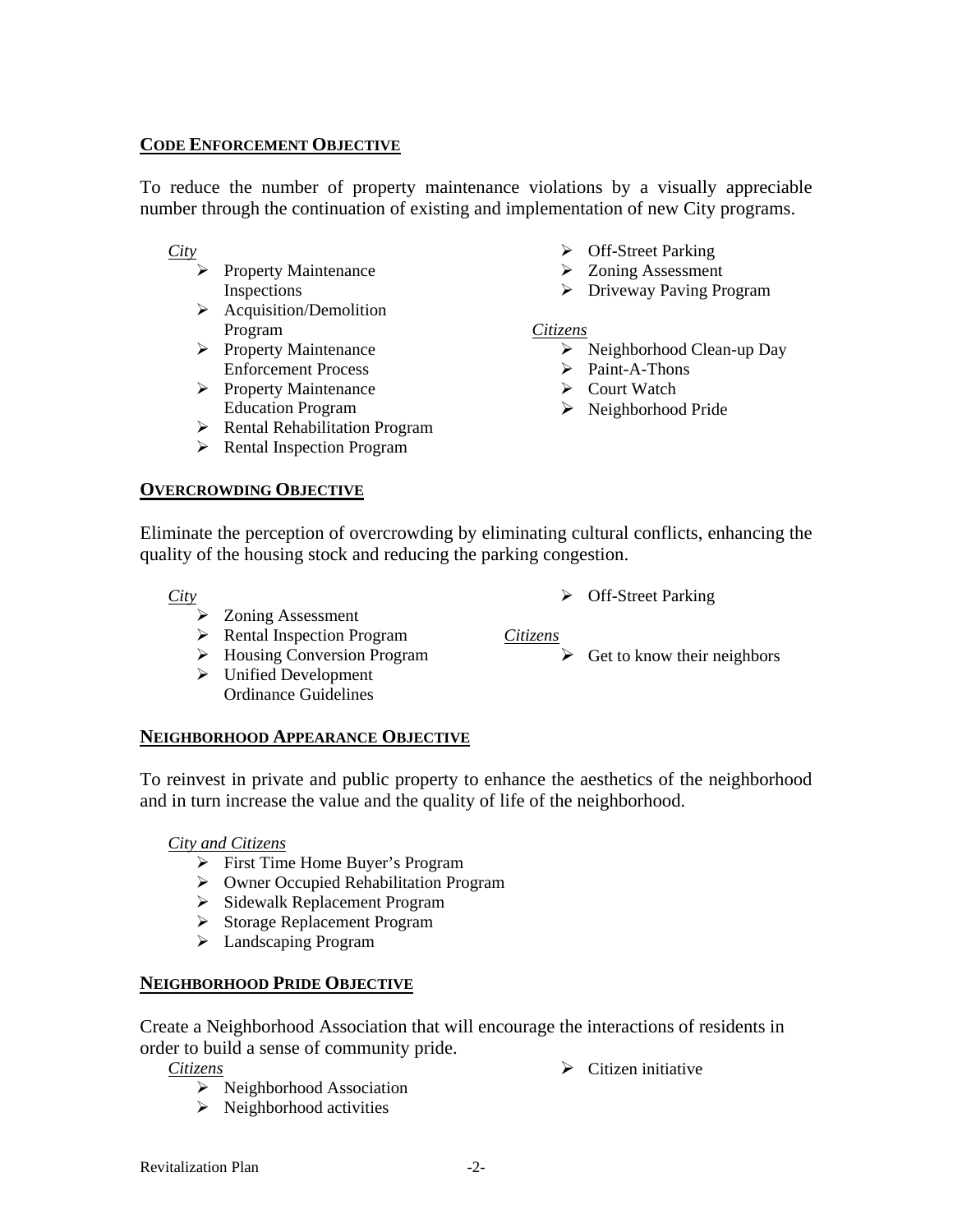## **CODE ENFORCEMENT OBJECTIVE**

To reduce the number of property maintenance violations by a visually appreciable number through the continuation of existing and implementation of new City programs.

*City*

- $\triangleright$  Property Maintenance Inspections
- $\triangleright$  Acquisition/Demolition Program
- $\triangleright$  Property Maintenance Enforcement Process
- $\triangleright$  Property Maintenance Education Program
- ¾ Rental Rehabilitation Program
- $\triangleright$  Rental Inspection Program

## **OVERCROWDING OBJECTIVE**

- $\triangleright$  Off-Street Parking
- $\triangleright$  Zoning Assessment
- ¾ Driveway Paving Program

## *Citizens*

- $\triangleright$  Neighborhood Clean-up Day
- $\triangleright$  Paint-A-Thons
- $\triangleright$  Court Watch
- ¾ Neighborhood Pride

¾ Off-Street Parking

 $\triangleright$  Citizen initiative

 $\triangleright$  Get to know their neighbors

Eliminate the perception of overcrowding by eliminating cultural conflicts, enhancing the quality of the housing stock and reducing the parking congestion.

*Citizens*

*City*

- ¾ Zoning Assessment
- $\triangleright$  Rental Inspection Program
- ¾ Housing Conversion Program
- $\triangleright$  Unified Development Ordinance Guidelines

**NEIGHBORHOOD APPEARANCE OBJECTIVE** 

To reinvest in private and public property to enhance the aesthetics of the neighborhood and in turn increase the value and the quality of life of the neighborhood.

## *City and Citizens*

- $\triangleright$  First Time Home Buyer's Program
- ¾ Owner Occupied Rehabilitation Program
- ¾ Sidewalk Replacement Program
- ¾ Storage Replacement Program
- ¾ Landscaping Program

## **NEIGHBORHOOD PRIDE OBJECTIVE**

Create a Neighborhood Association that will encourage the interactions of residents in order to build a sense of community pride.

*Citizens*

- $\triangleright$  Neighborhood Association
- $\triangleright$  Neighborhood activities

Revitalization Plan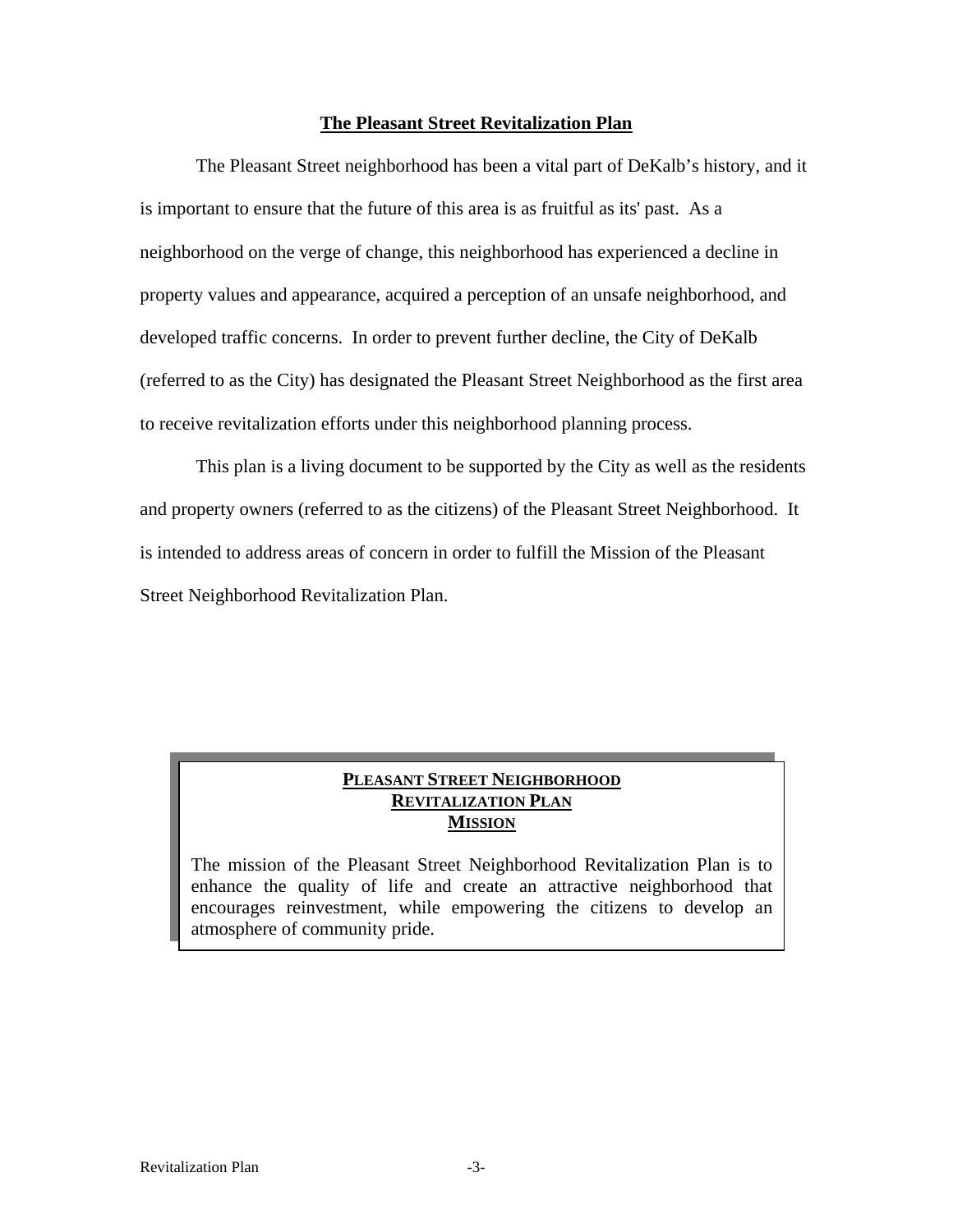### **The Pleasant Street Revitalization Plan**

The Pleasant Street neighborhood has been a vital part of DeKalb's history, and it is important to ensure that the future of this area is as fruitful as its' past. As a neighborhood on the verge of change, this neighborhood has experienced a decline in property values and appearance, acquired a perception of an unsafe neighborhood, and developed traffic concerns. In order to prevent further decline, the City of DeKalb (referred to as the City) has designated the Pleasant Street Neighborhood as the first area to receive revitalization efforts under this neighborhood planning process.

This plan is a living document to be supported by the City as well as the residents and property owners (referred to as the citizens) of the Pleasant Street Neighborhood. It is intended to address areas of concern in order to fulfill the Mission of the Pleasant Street Neighborhood Revitalization Plan.

## **PLEASANT STREET NEIGHBORHOOD REVITALIZATION PLAN MISSION**

The mission of the Pleasant Street Neighborhood Revitalization Plan is to enhance the quality of life and create an attractive neighborhood that encourages reinvestment, while empowering the citizens to develop an atmosphere of community pride.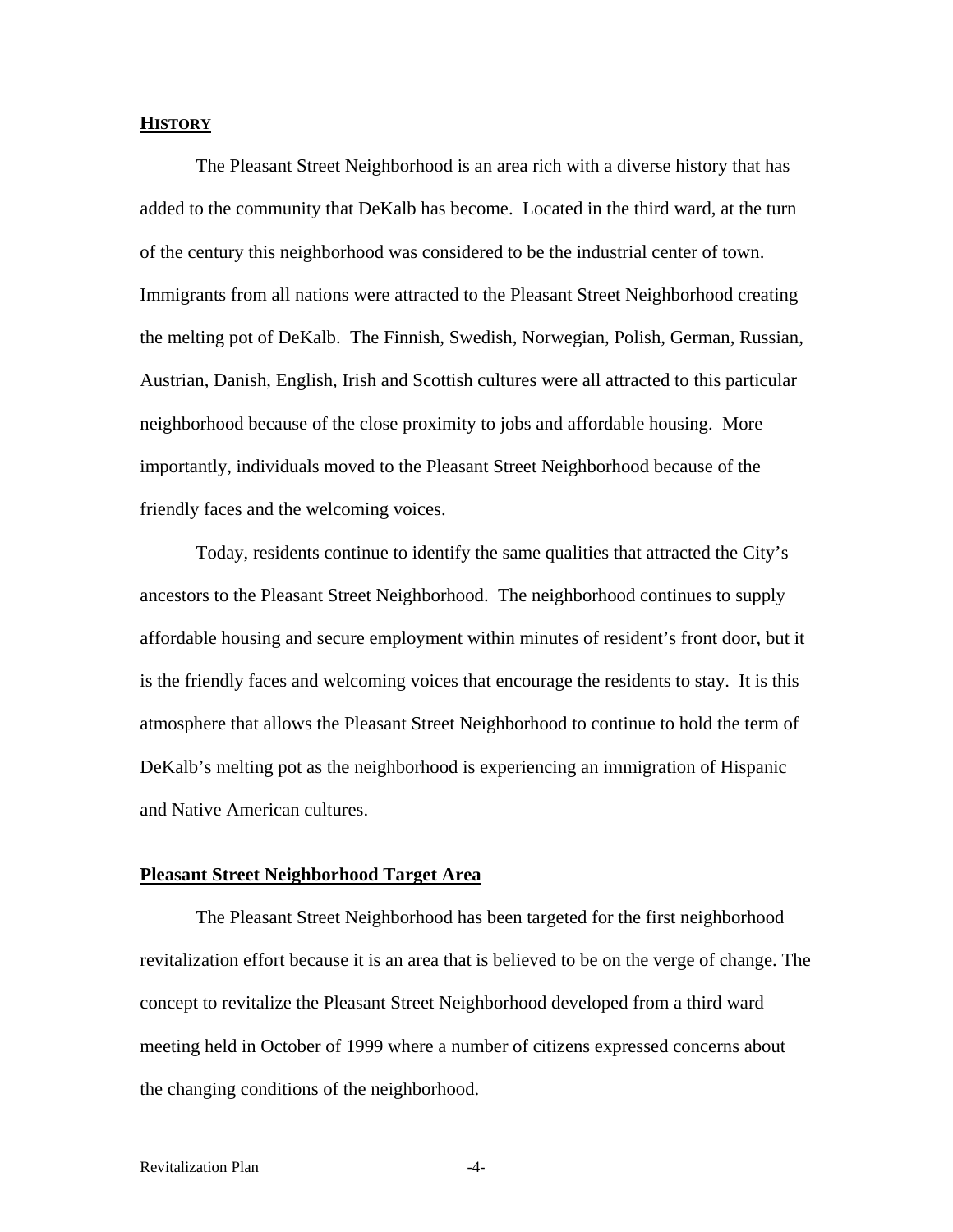#### **HISTORY**

The Pleasant Street Neighborhood is an area rich with a diverse history that has added to the community that DeKalb has become. Located in the third ward, at the turn of the century this neighborhood was considered to be the industrial center of town. Immigrants from all nations were attracted to the Pleasant Street Neighborhood creating the melting pot of DeKalb. The Finnish, Swedish, Norwegian, Polish, German, Russian, Austrian, Danish, English, Irish and Scottish cultures were all attracted to this particular neighborhood because of the close proximity to jobs and affordable housing. More importantly, individuals moved to the Pleasant Street Neighborhood because of the friendly faces and the welcoming voices.

Today, residents continue to identify the same qualities that attracted the City's ancestors to the Pleasant Street Neighborhood. The neighborhood continues to supply affordable housing and secure employment within minutes of resident's front door, but it is the friendly faces and welcoming voices that encourage the residents to stay. It is this atmosphere that allows the Pleasant Street Neighborhood to continue to hold the term of DeKalb's melting pot as the neighborhood is experiencing an immigration of Hispanic and Native American cultures.

#### **Pleasant Street Neighborhood Target Area**

The Pleasant Street Neighborhood has been targeted for the first neighborhood revitalization effort because it is an area that is believed to be on the verge of change. The concept to revitalize the Pleasant Street Neighborhood developed from a third ward meeting held in October of 1999 where a number of citizens expressed concerns about the changing conditions of the neighborhood.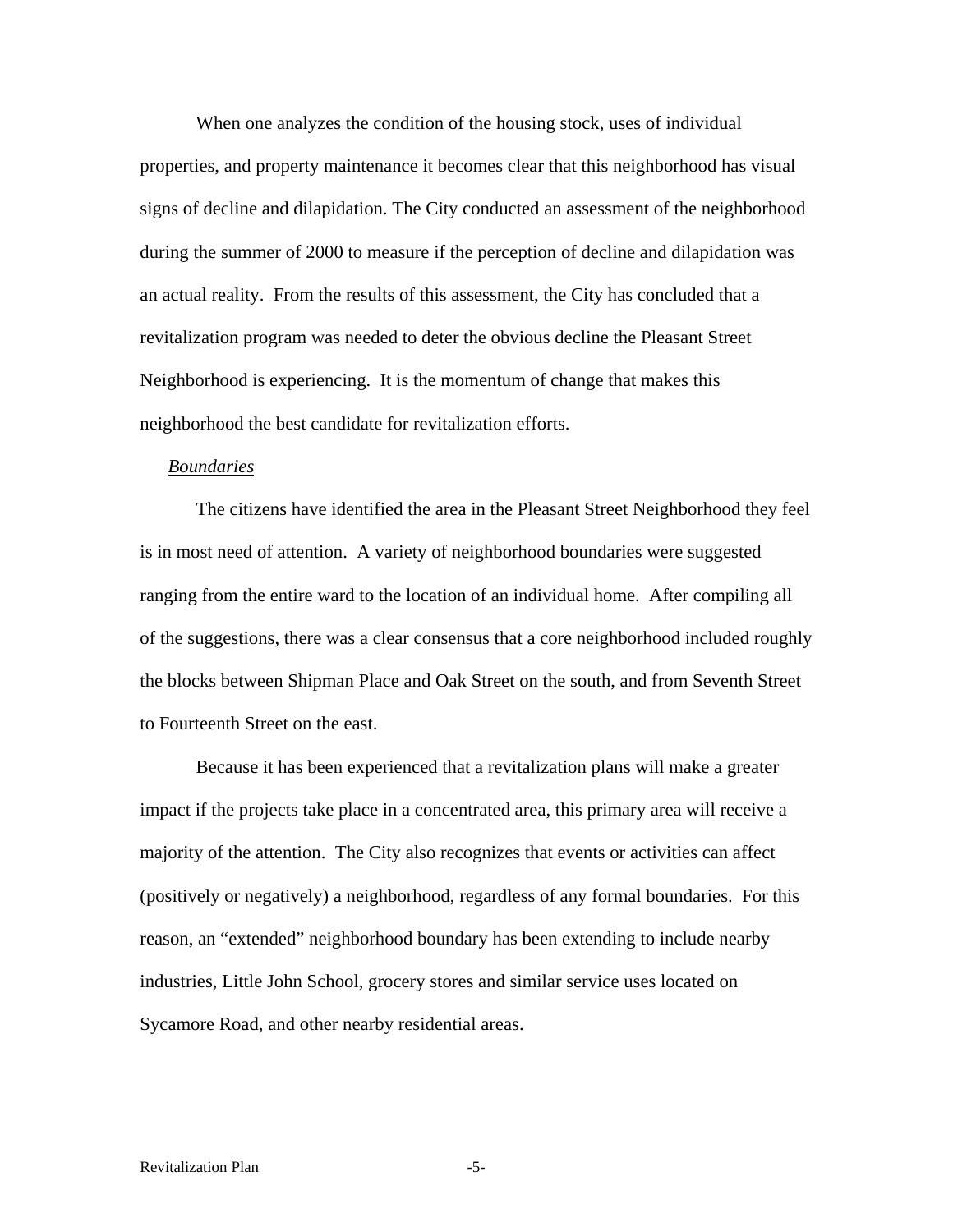When one analyzes the condition of the housing stock, uses of individual properties, and property maintenance it becomes clear that this neighborhood has visual signs of decline and dilapidation. The City conducted an assessment of the neighborhood during the summer of 2000 to measure if the perception of decline and dilapidation was an actual reality. From the results of this assessment, the City has concluded that a revitalization program was needed to deter the obvious decline the Pleasant Street Neighborhood is experiencing. It is the momentum of change that makes this neighborhood the best candidate for revitalization efforts.

#### *Boundaries*

The citizens have identified the area in the Pleasant Street Neighborhood they feel is in most need of attention. A variety of neighborhood boundaries were suggested ranging from the entire ward to the location of an individual home. After compiling all of the suggestions, there was a clear consensus that a core neighborhood included roughly the blocks between Shipman Place and Oak Street on the south, and from Seventh Street to Fourteenth Street on the east.

Because it has been experienced that a revitalization plans will make a greater impact if the projects take place in a concentrated area, this primary area will receive a majority of the attention. The City also recognizes that events or activities can affect (positively or negatively) a neighborhood, regardless of any formal boundaries. For this reason, an "extended" neighborhood boundary has been extending to include nearby industries, Little John School, grocery stores and similar service uses located on Sycamore Road, and other nearby residential areas.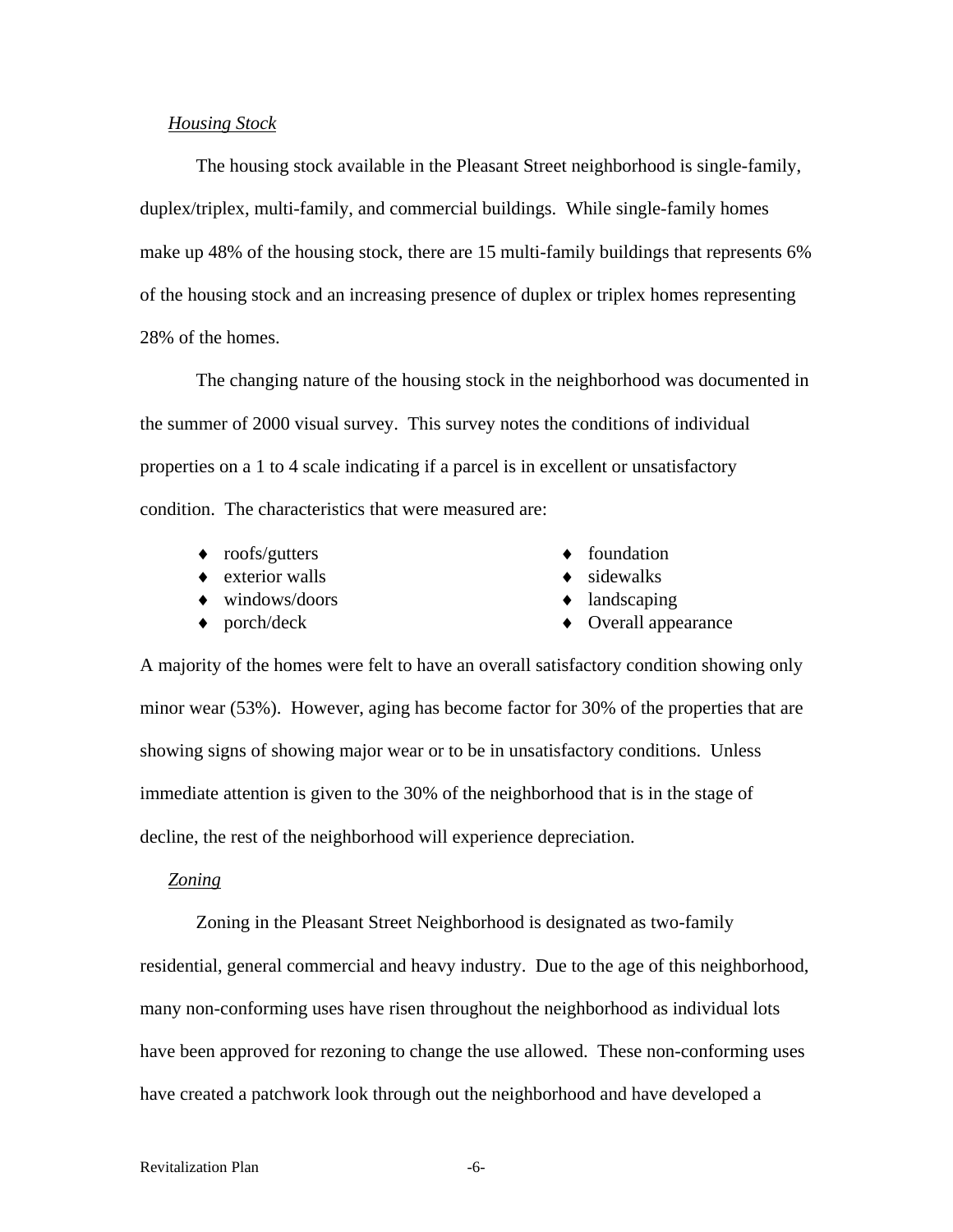#### *Housing Stock*

The housing stock available in the Pleasant Street neighborhood is single-family, duplex/triplex, multi-family, and commercial buildings. While single-family homes make up 48% of the housing stock, there are 15 multi-family buildings that represents 6% of the housing stock and an increasing presence of duplex or triplex homes representing 28% of the homes.

The changing nature of the housing stock in the neighborhood was documented in the summer of 2000 visual survey. This survey notes the conditions of individual properties on a 1 to 4 scale indicating if a parcel is in excellent or unsatisfactory condition. The characteristics that were measured are:

- $\bullet$  roofs/gutters
- $\bullet$  exterior walls
- ♦ windows/doors
- $\bullet$  porch/deck
- ♦ foundation
- $\bullet$  sidewalks
- ♦ landscaping
- ♦ Overall appearance

A majority of the homes were felt to have an overall satisfactory condition showing only minor wear (53%). However, aging has become factor for 30% of the properties that are showing signs of showing major wear or to be in unsatisfactory conditions. Unless immediate attention is given to the 30% of the neighborhood that is in the stage of decline, the rest of the neighborhood will experience depreciation.

#### *Zoning*

Zoning in the Pleasant Street Neighborhood is designated as two-family residential, general commercial and heavy industry. Due to the age of this neighborhood, many non-conforming uses have risen throughout the neighborhood as individual lots have been approved for rezoning to change the use allowed. These non-conforming uses have created a patchwork look through out the neighborhood and have developed a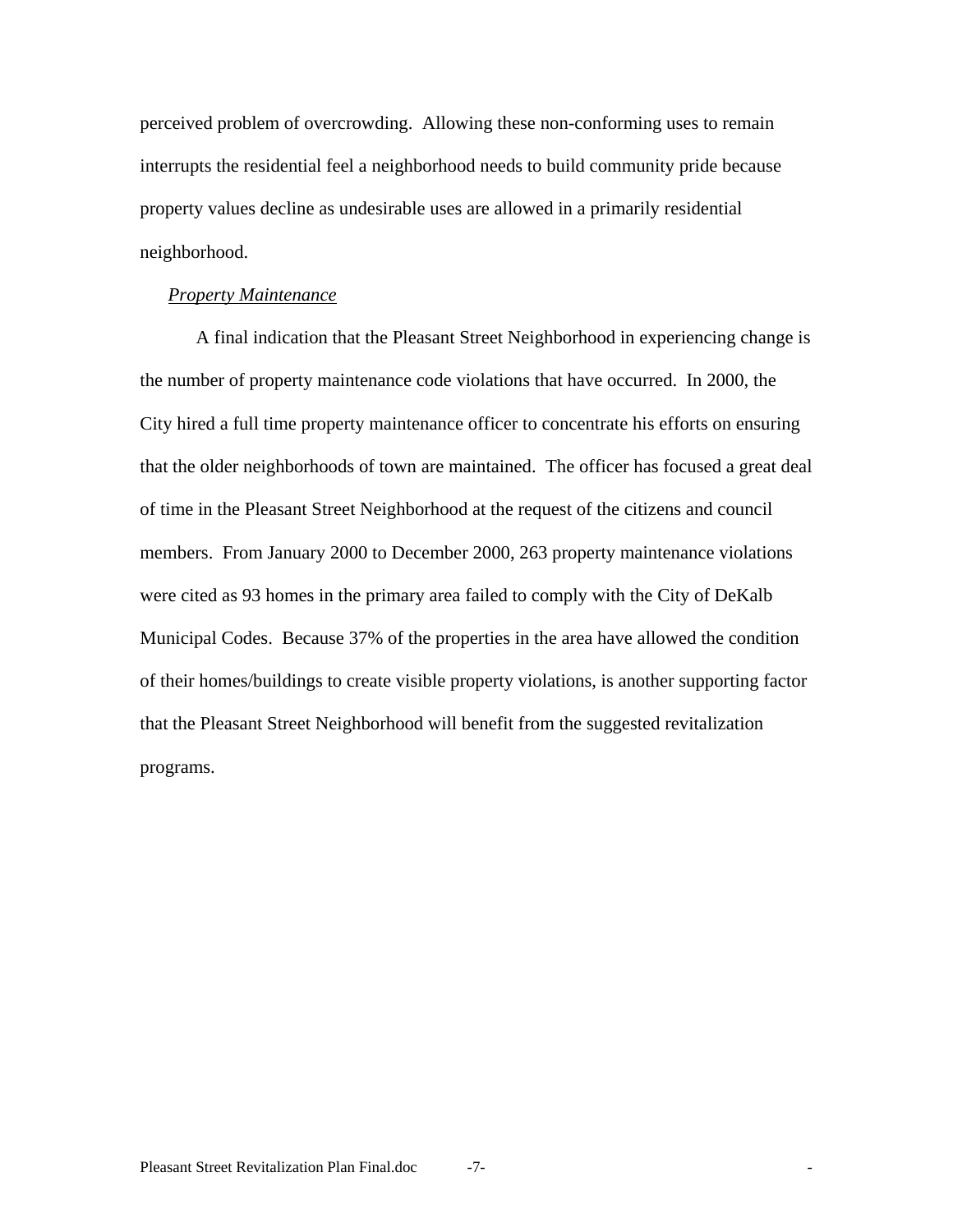perceived problem of overcrowding. Allowing these non-conforming uses to remain interrupts the residential feel a neighborhood needs to build community pride because property values decline as undesirable uses are allowed in a primarily residential neighborhood.

#### *Property Maintenance*

 A final indication that the Pleasant Street Neighborhood in experiencing change is the number of property maintenance code violations that have occurred. In 2000, the City hired a full time property maintenance officer to concentrate his efforts on ensuring that the older neighborhoods of town are maintained. The officer has focused a great deal of time in the Pleasant Street Neighborhood at the request of the citizens and council members. From January 2000 to December 2000, 263 property maintenance violations were cited as 93 homes in the primary area failed to comply with the City of DeKalb Municipal Codes. Because 37% of the properties in the area have allowed the condition of their homes/buildings to create visible property violations, is another supporting factor that the Pleasant Street Neighborhood will benefit from the suggested revitalization programs.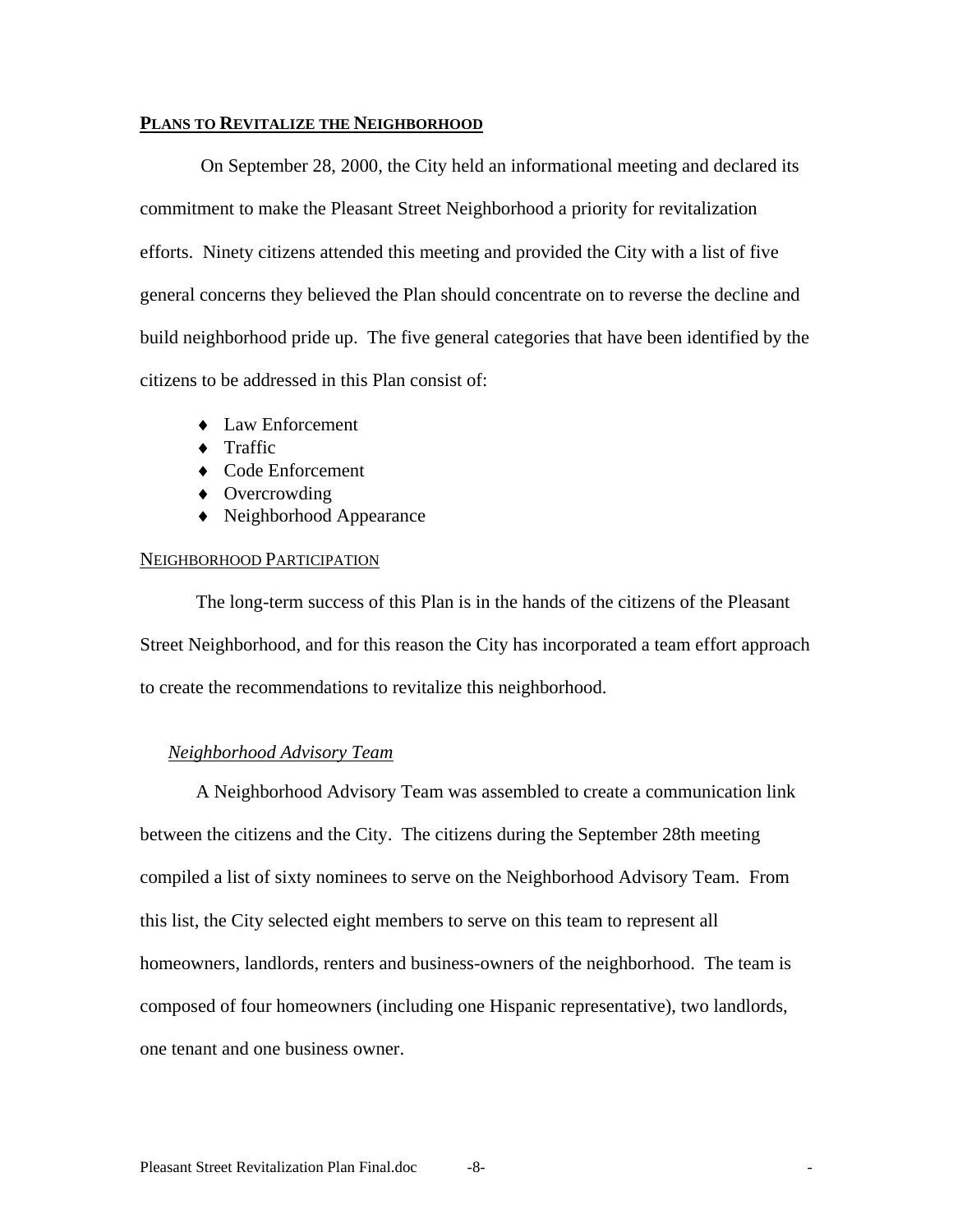#### **PLANS TO REVITALIZE THE NEIGHBORHOOD**

 On September 28, 2000, the City held an informational meeting and declared its commitment to make the Pleasant Street Neighborhood a priority for revitalization efforts. Ninety citizens attended this meeting and provided the City with a list of five general concerns they believed the Plan should concentrate on to reverse the decline and build neighborhood pride up. The five general categories that have been identified by the citizens to be addressed in this Plan consist of:

- ♦ Law Enforcement
- $\bullet$  Traffic
- ♦ Code Enforcement
- ♦ Overcrowding
- ♦ Neighborhood Appearance

#### NEIGHBORHOOD PARTICIPATION

The long-term success of this Plan is in the hands of the citizens of the Pleasant Street Neighborhood, and for this reason the City has incorporated a team effort approach to create the recommendations to revitalize this neighborhood.

#### *Neighborhood Advisory Team*

A Neighborhood Advisory Team was assembled to create a communication link between the citizens and the City. The citizens during the September 28th meeting compiled a list of sixty nominees to serve on the Neighborhood Advisory Team. From this list, the City selected eight members to serve on this team to represent all homeowners, landlords, renters and business-owners of the neighborhood. The team is composed of four homeowners (including one Hispanic representative), two landlords, one tenant and one business owner.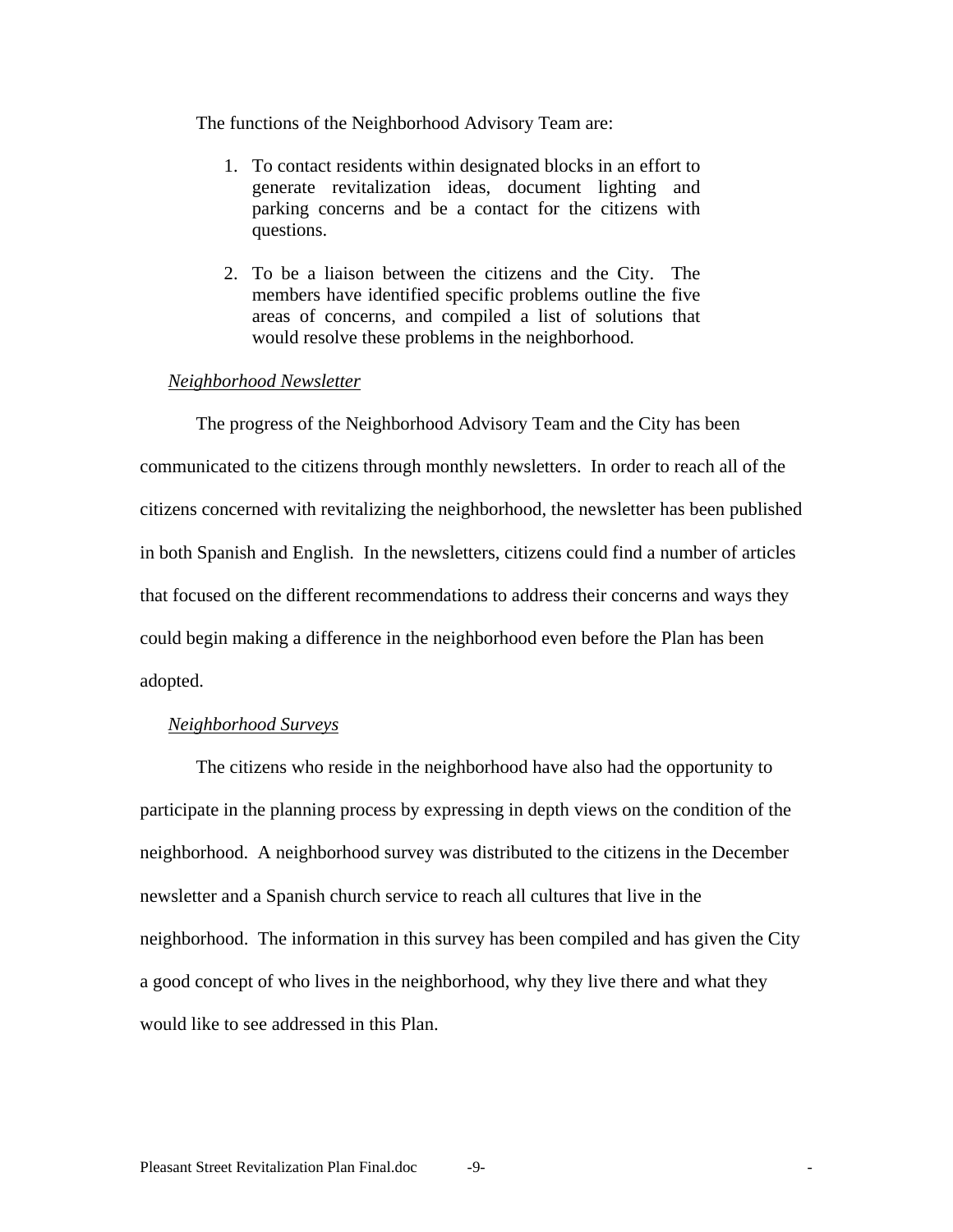The functions of the Neighborhood Advisory Team are:

- 1. To contact residents within designated blocks in an effort to generate revitalization ideas, document lighting and parking concerns and be a contact for the citizens with questions.
- 2. To be a liaison between the citizens and the City. The members have identified specific problems outline the five areas of concerns, and compiled a list of solutions that would resolve these problems in the neighborhood.

## *Neighborhood Newsletter*

The progress of the Neighborhood Advisory Team and the City has been communicated to the citizens through monthly newsletters. In order to reach all of the citizens concerned with revitalizing the neighborhood, the newsletter has been published in both Spanish and English. In the newsletters, citizens could find a number of articles that focused on the different recommendations to address their concerns and ways they could begin making a difference in the neighborhood even before the Plan has been adopted.

#### *Neighborhood Surveys*

 The citizens who reside in the neighborhood have also had the opportunity to participate in the planning process by expressing in depth views on the condition of the neighborhood. A neighborhood survey was distributed to the citizens in the December newsletter and a Spanish church service to reach all cultures that live in the neighborhood. The information in this survey has been compiled and has given the City a good concept of who lives in the neighborhood, why they live there and what they would like to see addressed in this Plan.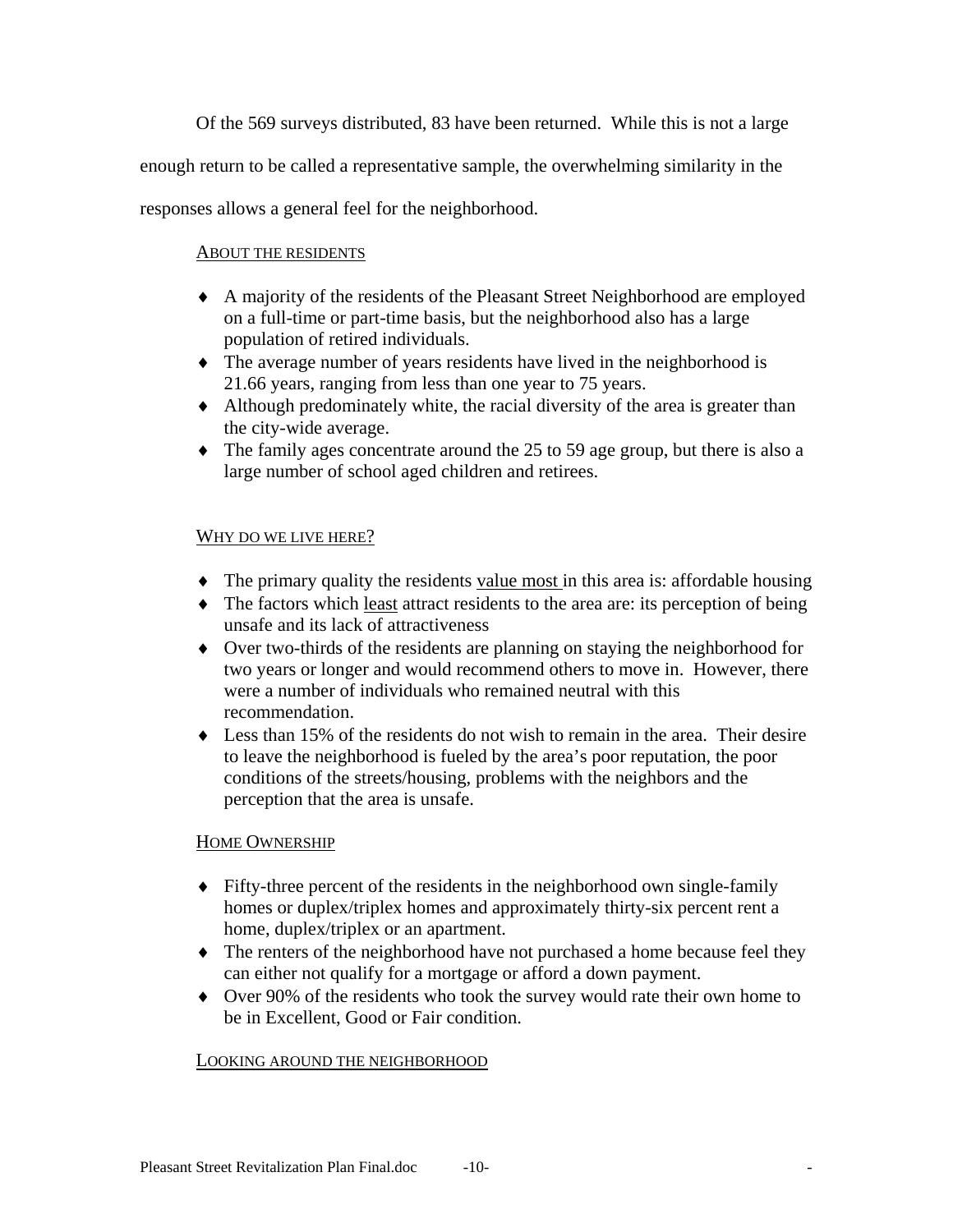Of the 569 surveys distributed, 83 have been returned. While this is not a large

enough return to be called a representative sample, the overwhelming similarity in the

responses allows a general feel for the neighborhood.

## ABOUT THE RESIDENTS

- ♦ A majority of the residents of the Pleasant Street Neighborhood are employed on a full-time or part-time basis, but the neighborhood also has a large population of retired individuals.
- ♦ The average number of years residents have lived in the neighborhood is 21.66 years, ranging from less than one year to 75 years.
- ♦ Although predominately white, the racial diversity of the area is greater than the city-wide average.
- ♦ The family ages concentrate around the 25 to 59 age group, but there is also a large number of school aged children and retirees.

## WHY DO WE LIVE HERE?

- The primary quality the residents value most in this area is: affordable housing
- ♦ The factors which least attract residents to the area are: its perception of being unsafe and its lack of attractiveness
- ♦ Over two-thirds of the residents are planning on staying the neighborhood for two years or longer and would recommend others to move in. However, there were a number of individuals who remained neutral with this recommendation.
- $\bullet$  Less than 15% of the residents do not wish to remain in the area. Their desire to leave the neighborhood is fueled by the area's poor reputation, the poor conditions of the streets/housing, problems with the neighbors and the perception that the area is unsafe.

## HOME OWNERSHIP

- ♦ Fifty-three percent of the residents in the neighborhood own single-family homes or duplex/triplex homes and approximately thirty-six percent rent a home, duplex/triplex or an apartment.
- ♦ The renters of the neighborhood have not purchased a home because feel they can either not qualify for a mortgage or afford a down payment.
- ♦ Over 90% of the residents who took the survey would rate their own home to be in Excellent, Good or Fair condition.

## LOOKING AROUND THE NEIGHBORHOOD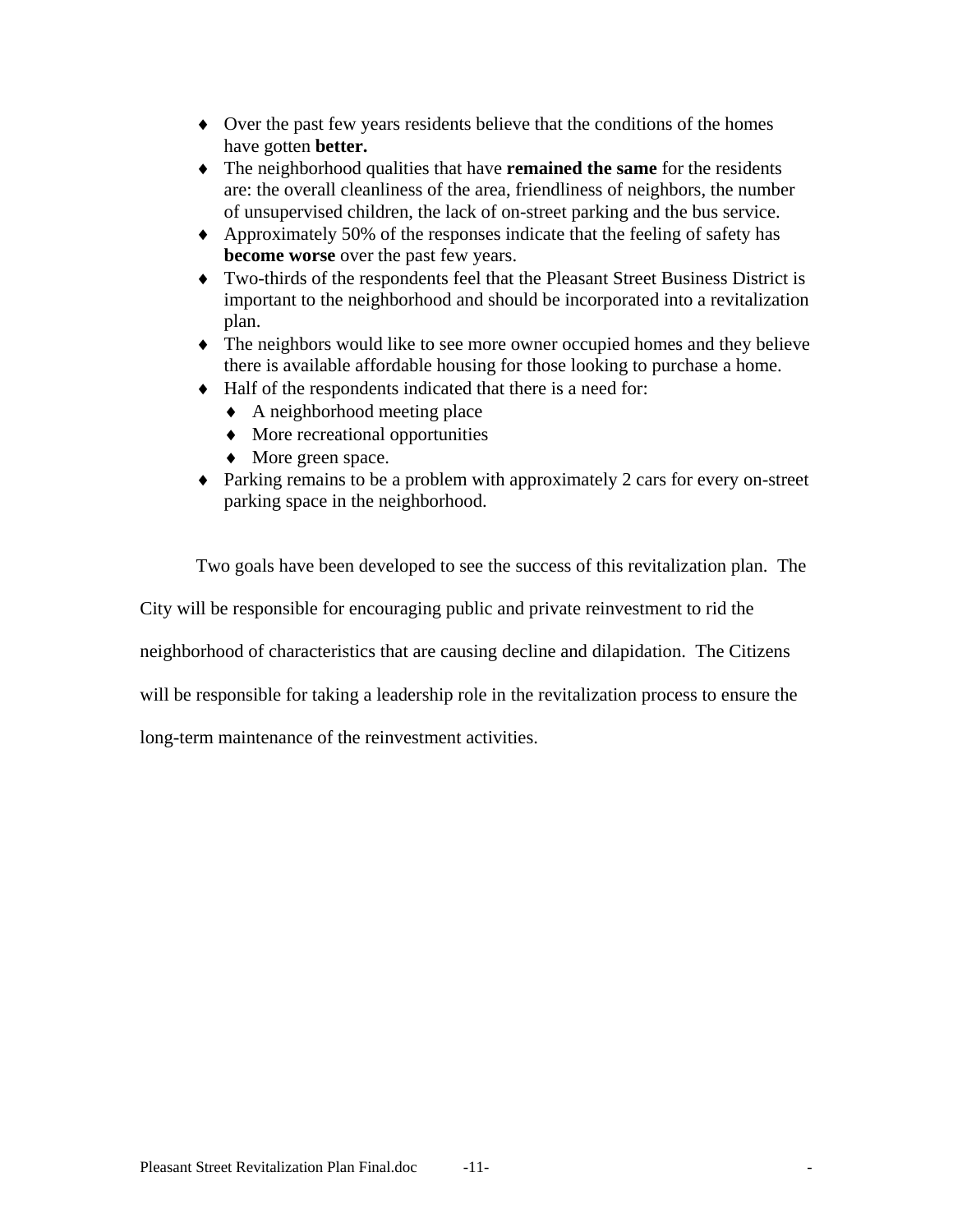- ♦ Over the past few years residents believe that the conditions of the homes have gotten **better.**
- ♦ The neighborhood qualities that have **remained the same** for the residents are: the overall cleanliness of the area, friendliness of neighbors, the number of unsupervised children, the lack of on-street parking and the bus service.
- ♦ Approximately 50% of the responses indicate that the feeling of safety has **become worse** over the past few years.
- ♦ Two-thirds of the respondents feel that the Pleasant Street Business District is important to the neighborhood and should be incorporated into a revitalization plan.
- ♦ The neighbors would like to see more owner occupied homes and they believe there is available affordable housing for those looking to purchase a home.
- ♦ Half of the respondents indicated that there is a need for:
	- $\triangle$  A neighborhood meeting place
	- ♦ More recreational opportunities
	- ♦ More green space.
- ♦ Parking remains to be a problem with approximately 2 cars for every on-street parking space in the neighborhood.

Two goals have been developed to see the success of this revitalization plan. The

City will be responsible for encouraging public and private reinvestment to rid the

neighborhood of characteristics that are causing decline and dilapidation. The Citizens

will be responsible for taking a leadership role in the revitalization process to ensure the

long-term maintenance of the reinvestment activities.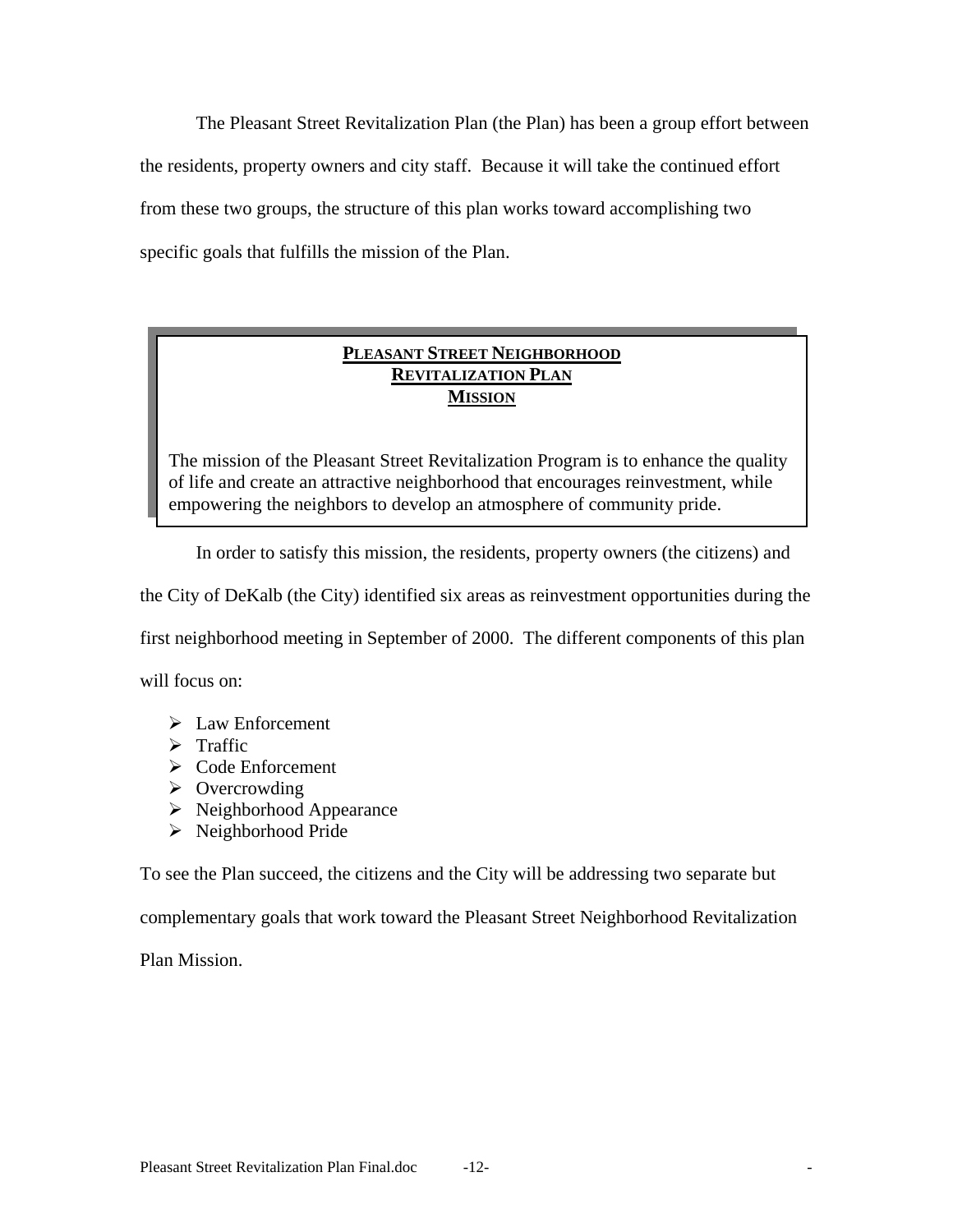The Pleasant Street Revitalization Plan (the Plan) has been a group effort between the residents, property owners and city staff. Because it will take the continued effort from these two groups, the structure of this plan works toward accomplishing two specific goals that fulfills the mission of the Plan.

## **PLEASANT STREET NEIGHBORHOOD REVITALIZATION PLAN MISSION**

The mission of the Pleasant Street Revitalization Program is to enhance the quality of life and create an attractive neighborhood that encourages reinvestment, while empowering the neighbors to develop an atmosphere of community pride.

In order to satisfy this mission, the residents, property owners (the citizens) and

the City of DeKalb (the City) identified six areas as reinvestment opportunities during the

first neighborhood meeting in September of 2000. The different components of this plan

will focus on:

- $\triangleright$  Law Enforcement
- $\triangleright$  Traffic
- $\triangleright$  Code Enforcement
- $\triangleright$  Overcrowding
- $\triangleright$  Neighborhood Appearance
- $\triangleright$  Neighborhood Pride

To see the Plan succeed, the citizens and the City will be addressing two separate but

complementary goals that work toward the Pleasant Street Neighborhood Revitalization

Plan Mission.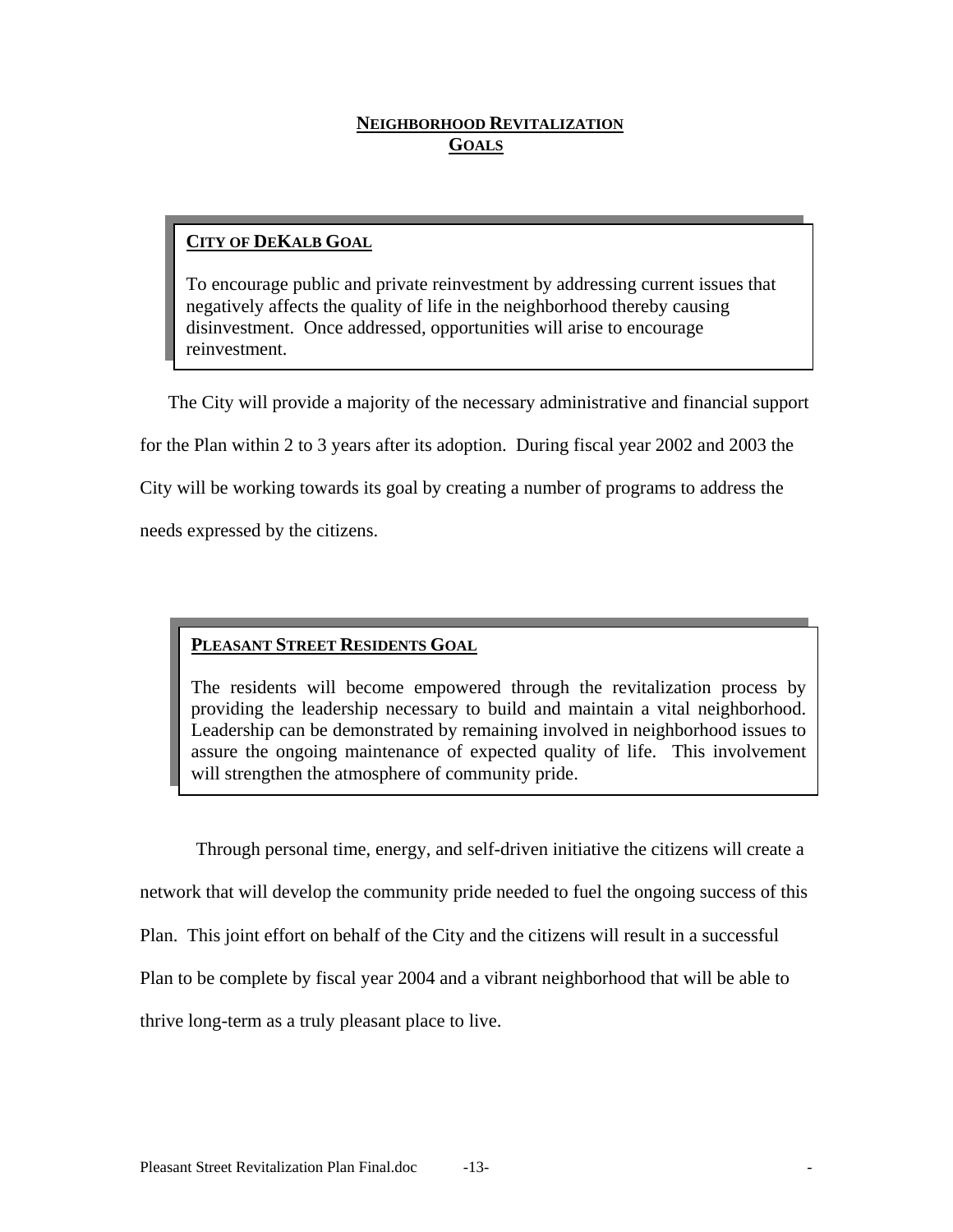## **NEIGHBORHOOD REVITALIZATION GOALS**

## **CITY OF DEKALB GOAL**

To encourage public and private reinvestment by addressing current issues that negatively affects the quality of life in the neighborhood thereby causing disinvestment. Once addressed, opportunities will arise to encourage reinvestment.

The City will provide a majority of the necessary administrative and financial support for the Plan within 2 to 3 years after its adoption. During fiscal year 2002 and 2003 the City will be working towards its goal by creating a number of programs to address the needs expressed by the citizens.

## **PLEASANT STREET RESIDENTS GOAL**

The residents will become empowered through the revitalization process by providing the leadership necessary to build and maintain a vital neighborhood. Leadership can be demonstrated by remaining involved in neighborhood issues to assure the ongoing maintenance of expected quality of life. This involvement will strengthen the atmosphere of community pride.

 Through personal time, energy, and self-driven initiative the citizens will create a network that will develop the community pride needed to fuel the ongoing success of this Plan. This joint effort on behalf of the City and the citizens will result in a successful Plan to be complete by fiscal year 2004 and a vibrant neighborhood that will be able to thrive long-term as a truly pleasant place to live.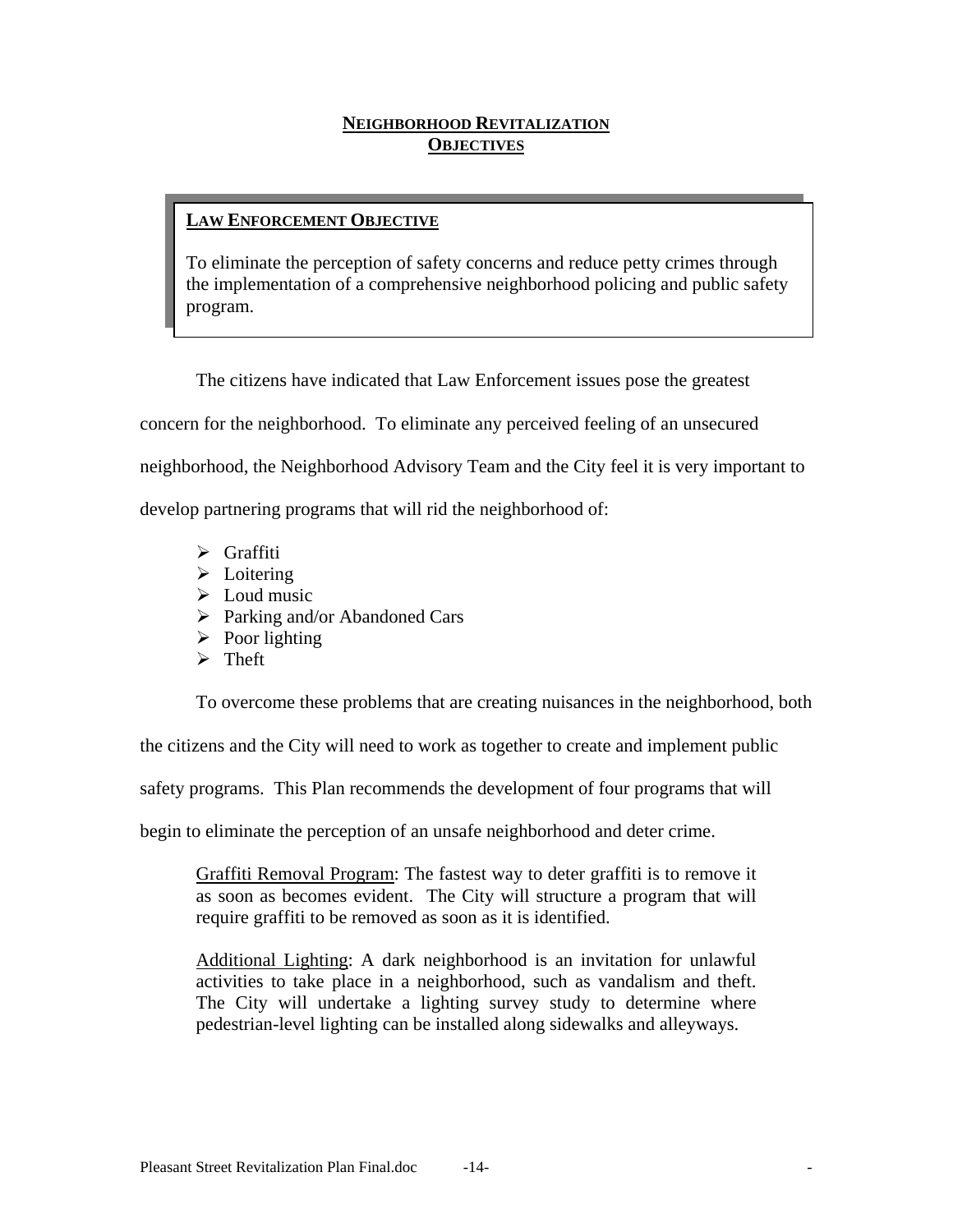## **NEIGHBORHOOD REVITALIZATION OBJECTIVES**

## **LAW ENFORCEMENT OBJECTIVE**

To eliminate the perception of safety concerns and reduce petty crimes through the implementation of a comprehensive neighborhood policing and public safety program.

The citizens have indicated that Law Enforcement issues pose the greatest

concern for the neighborhood. To eliminate any perceived feeling of an unsecured

neighborhood, the Neighborhood Advisory Team and the City feel it is very important to

develop partnering programs that will rid the neighborhood of:

- $\triangleright$  Graffiti
- $\triangleright$  Loitering
- $\triangleright$  Loud music
- $\triangleright$  Parking and/or Abandoned Cars
- $\triangleright$  Poor lighting
- $\triangleright$  Theft

To overcome these problems that are creating nuisances in the neighborhood, both

the citizens and the City will need to work as together to create and implement public

safety programs. This Plan recommends the development of four programs that will

begin to eliminate the perception of an unsafe neighborhood and deter crime.

Graffiti Removal Program: The fastest way to deter graffiti is to remove it as soon as becomes evident. The City will structure a program that will require graffiti to be removed as soon as it is identified.

Additional Lighting: A dark neighborhood is an invitation for unlawful activities to take place in a neighborhood, such as vandalism and theft. The City will undertake a lighting survey study to determine where pedestrian-level lighting can be installed along sidewalks and alleyways.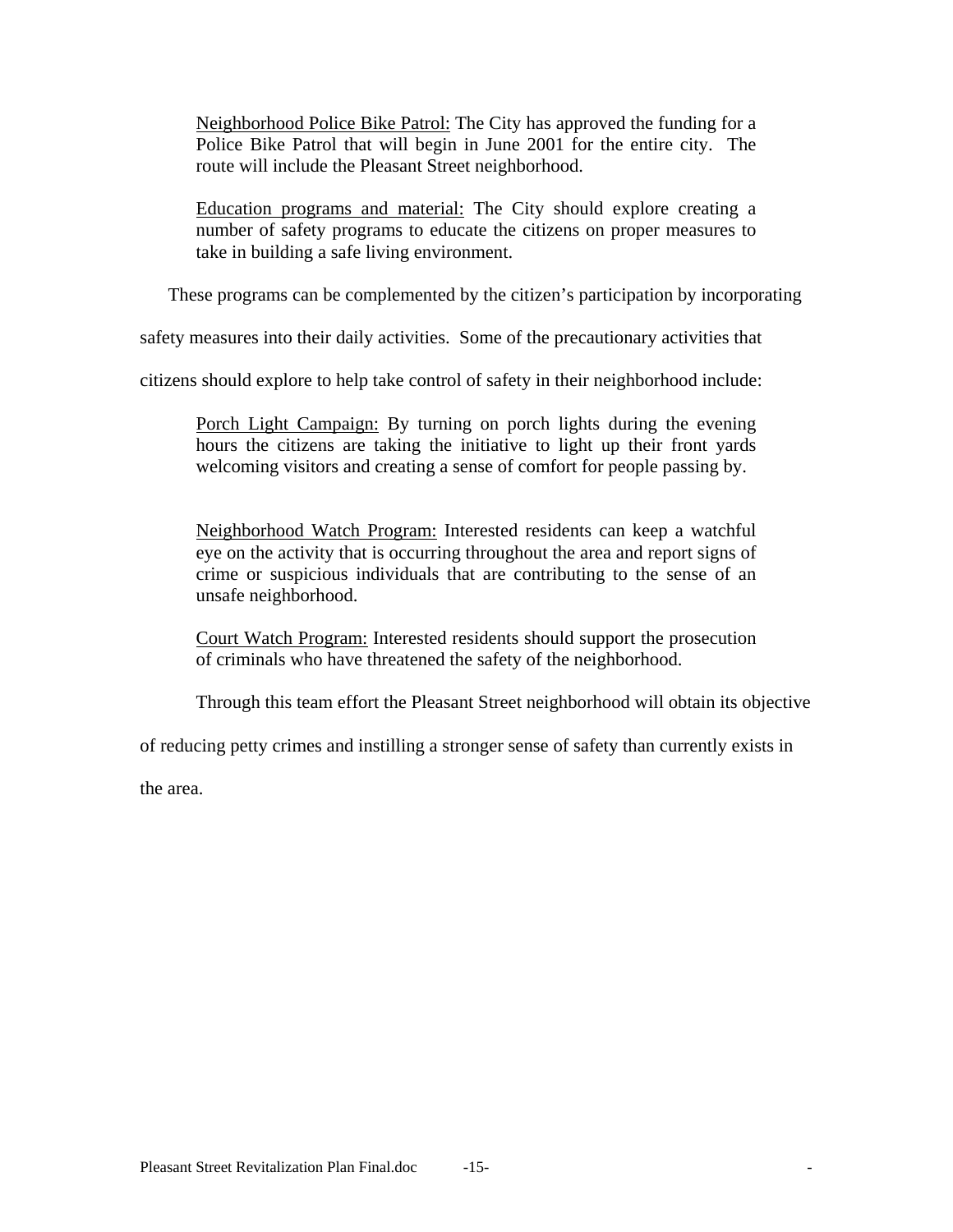Neighborhood Police Bike Patrol: The City has approved the funding for a Police Bike Patrol that will begin in June 2001 for the entire city. The route will include the Pleasant Street neighborhood.

Education programs and material: The City should explore creating a number of safety programs to educate the citizens on proper measures to take in building a safe living environment.

These programs can be complemented by the citizen's participation by incorporating

safety measures into their daily activities. Some of the precautionary activities that

citizens should explore to help take control of safety in their neighborhood include:

Porch Light Campaign: By turning on porch lights during the evening hours the citizens are taking the initiative to light up their front yards welcoming visitors and creating a sense of comfort for people passing by.

Neighborhood Watch Program: Interested residents can keep a watchful eye on the activity that is occurring throughout the area and report signs of crime or suspicious individuals that are contributing to the sense of an unsafe neighborhood.

Court Watch Program: Interested residents should support the prosecution of criminals who have threatened the safety of the neighborhood.

Through this team effort the Pleasant Street neighborhood will obtain its objective

of reducing petty crimes and instilling a stronger sense of safety than currently exists in

the area.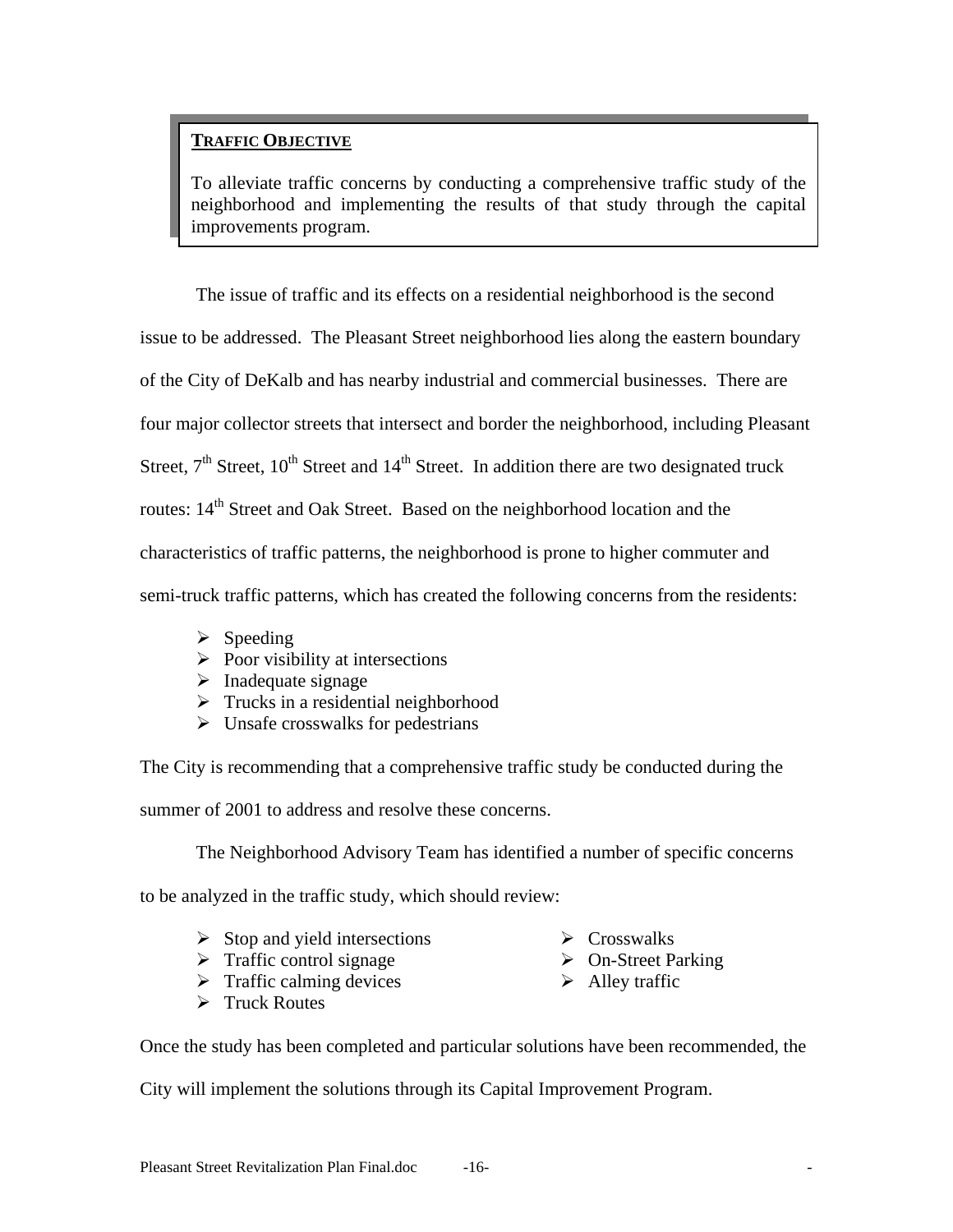## **TRAFFIC OBJECTIVE**

To alleviate traffic concerns by conducting a comprehensive traffic study of the neighborhood and implementing the results of that study through the capital improvements program.

The issue of traffic and its effects on a residential neighborhood is the second issue to be addressed. The Pleasant Street neighborhood lies along the eastern boundary of the City of DeKalb and has nearby industrial and commercial businesses. There are four major collector streets that intersect and border the neighborhood, including Pleasant Street,  $7<sup>th</sup>$  Street,  $10<sup>th</sup>$  Street and  $14<sup>th</sup>$  Street. In addition there are two designated truck routes:  $14<sup>th</sup>$  Street and Oak Street. Based on the neighborhood location and the characteristics of traffic patterns, the neighborhood is prone to higher commuter and semi-truck traffic patterns, which has created the following concerns from the residents:

- $\triangleright$  Speeding
- $\triangleright$  Poor visibility at intersections
- $\blacktriangleright$  Inadequate signage
- $\triangleright$  Trucks in a residential neighborhood
- $\triangleright$  Unsafe crosswalks for pedestrians

The City is recommending that a comprehensive traffic study be conducted during the summer of 2001 to address and resolve these concerns.

The Neighborhood Advisory Team has identified a number of specific concerns

to be analyzed in the traffic study, which should review:

- $\triangleright$  Stop and yield intersections
- $\triangleright$  Traffic control signage
- $\triangleright$  Traffic calming devices
- $\triangleright$  Truck Routes
- $\triangleright$  Crosswalks
- $\triangleright$  On-Street Parking
- $\triangleright$  Alley traffic

Once the study has been completed and particular solutions have been recommended, the

City will implement the solutions through its Capital Improvement Program.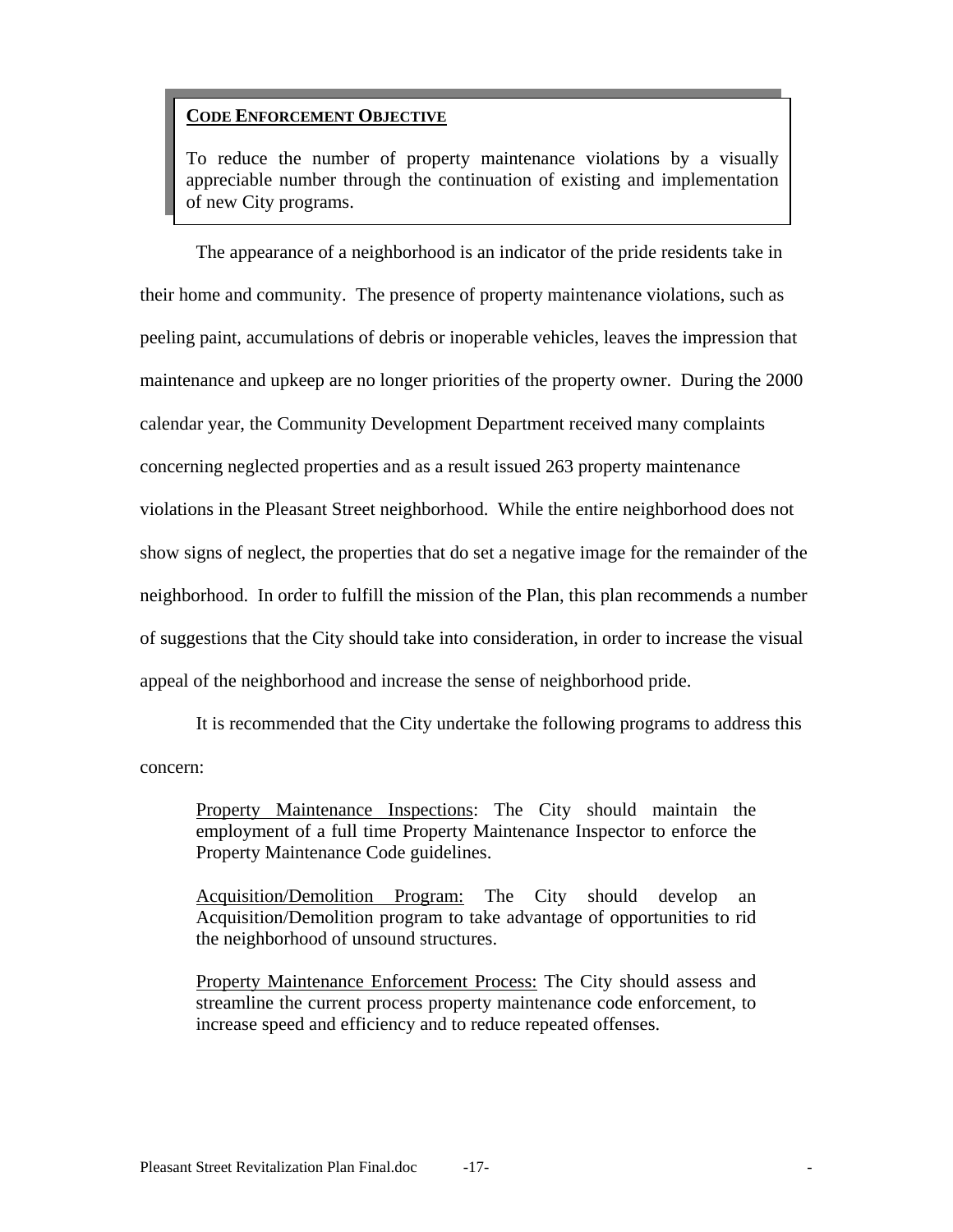# **A. CODE ENFORCEMENT OBJECTIVE**

To reduce the number of property maintenance violations by a visually appreciable number through the continuation of existing and implementation of new City programs.

 The appearance of a neighborhood is an indicator of the pride residents take in their home and community. The presence of property maintenance violations, such as peeling paint, accumulations of debris or inoperable vehicles, leaves the impression that maintenance and upkeep are no longer priorities of the property owner. During the 2000 calendar year, the Community Development Department received many complaints concerning neglected properties and as a result issued 263 property maintenance violations in the Pleasant Street neighborhood. While the entire neighborhood does not show signs of neglect, the properties that do set a negative image for the remainder of the neighborhood. In order to fulfill the mission of the Plan, this plan recommends a number of suggestions that the City should take into consideration, in order to increase the visual appeal of the neighborhood and increase the sense of neighborhood pride.

 It is recommended that the City undertake the following programs to address this concern:

Property Maintenance Inspections: The City should maintain the employment of a full time Property Maintenance Inspector to enforce the Property Maintenance Code guidelines.

Acquisition/Demolition Program: The City should develop an Acquisition/Demolition program to take advantage of opportunities to rid the neighborhood of unsound structures.

Property Maintenance Enforcement Process: The City should assess and streamline the current process property maintenance code enforcement, to increase speed and efficiency and to reduce repeated offenses.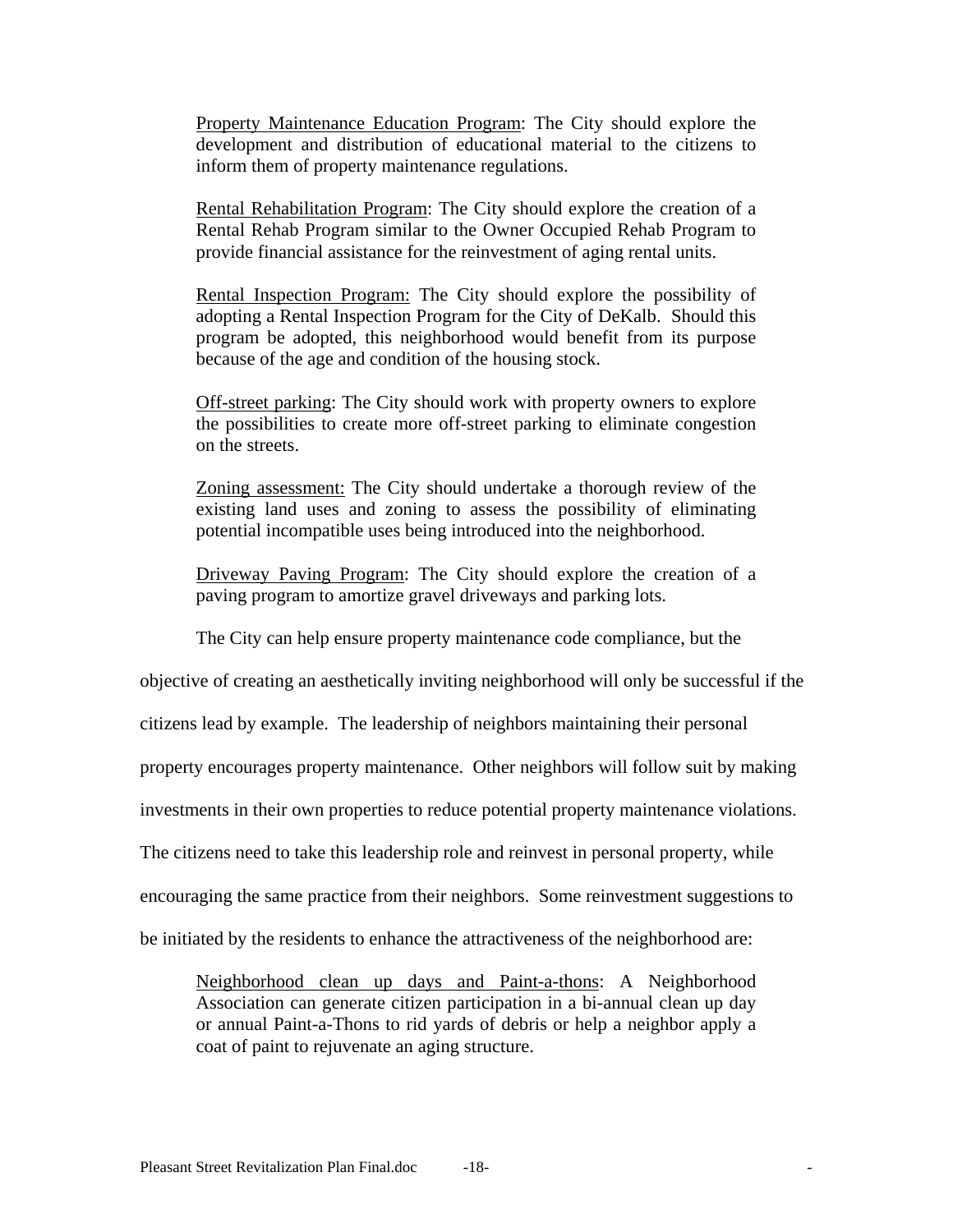Property Maintenance Education Program: The City should explore the development and distribution of educational material to the citizens to inform them of property maintenance regulations.

Rental Rehabilitation Program: The City should explore the creation of a Rental Rehab Program similar to the Owner Occupied Rehab Program to provide financial assistance for the reinvestment of aging rental units.

Rental Inspection Program: The City should explore the possibility of adopting a Rental Inspection Program for the City of DeKalb. Should this program be adopted, this neighborhood would benefit from its purpose because of the age and condition of the housing stock.

Off-street parking: The City should work with property owners to explore the possibilities to create more off-street parking to eliminate congestion on the streets.

Zoning assessment: The City should undertake a thorough review of the existing land uses and zoning to assess the possibility of eliminating potential incompatible uses being introduced into the neighborhood.

Driveway Paving Program: The City should explore the creation of a paving program to amortize gravel driveways and parking lots.

The City can help ensure property maintenance code compliance, but the

objective of creating an aesthetically inviting neighborhood will only be successful if the

citizens lead by example. The leadership of neighbors maintaining their personal

property encourages property maintenance. Other neighbors will follow suit by making

investments in their own properties to reduce potential property maintenance violations.

The citizens need to take this leadership role and reinvest in personal property, while

encouraging the same practice from their neighbors. Some reinvestment suggestions to

be initiated by the residents to enhance the attractiveness of the neighborhood are:

Neighborhood clean up days and Paint-a-thons: A Neighborhood Association can generate citizen participation in a bi-annual clean up day or annual Paint-a-Thons to rid yards of debris or help a neighbor apply a coat of paint to rejuvenate an aging structure.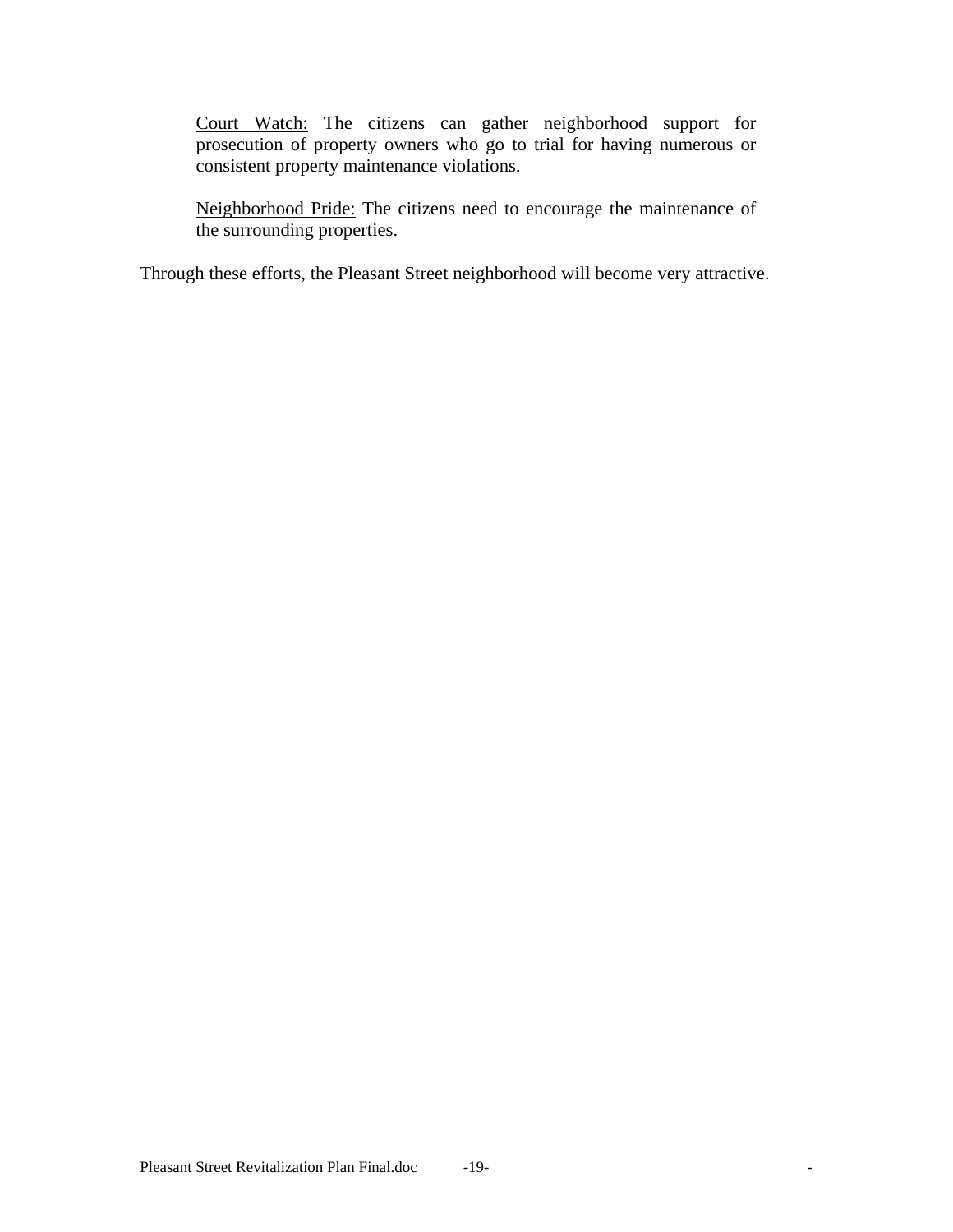Court Watch: The citizens can gather neighborhood support for prosecution of property owners who go to trial for having numerous or consistent property maintenance violations.

Neighborhood Pride: The citizens need to encourage the maintenance of the surrounding properties.

Through these efforts, the Pleasant Street neighborhood will become very attractive.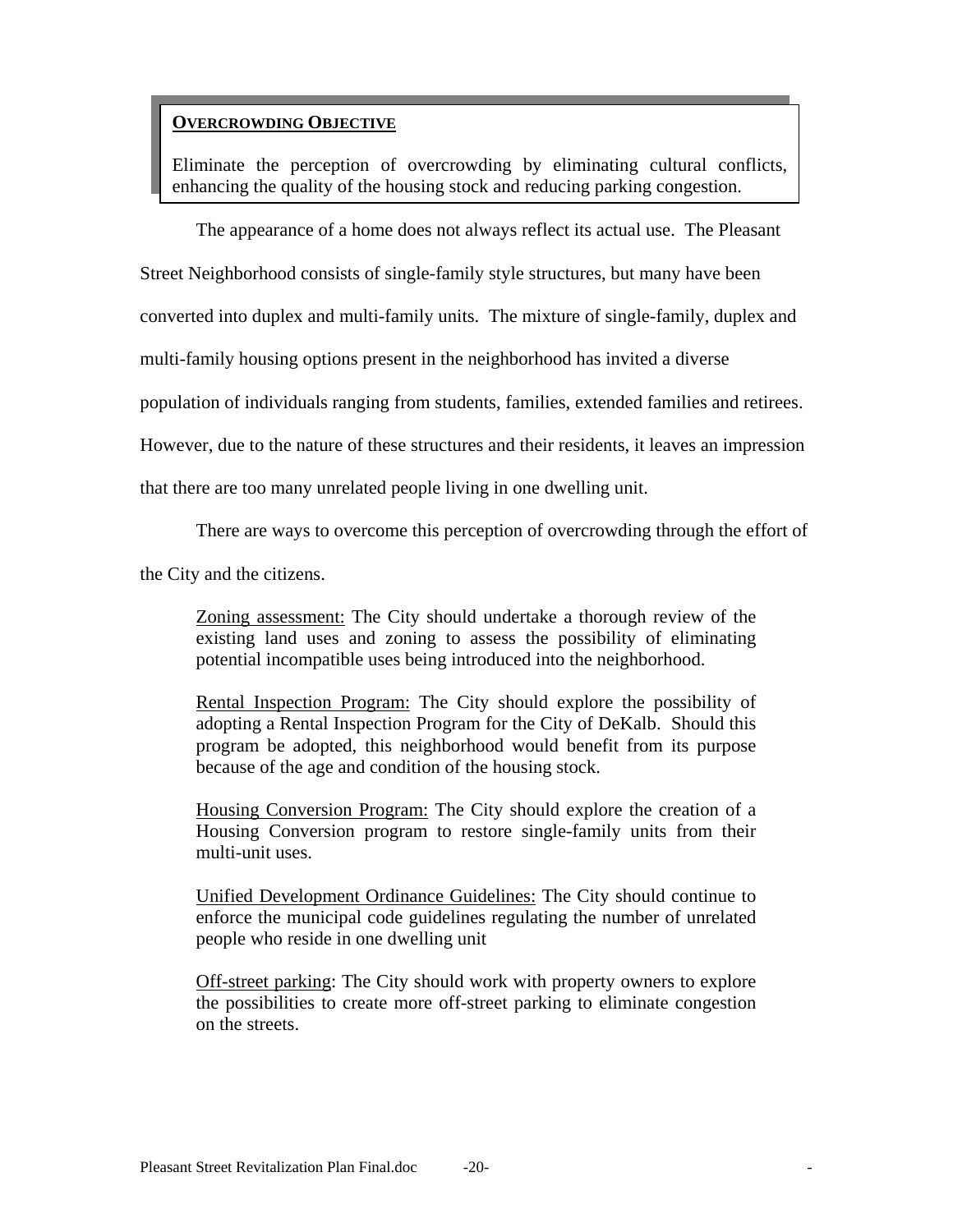## **OVERCROWDING OBJECTIVE**

Eliminate the perception of overcrowding by eliminating cultural conflicts, enhancing the quality of the housing stock and reducing parking congestion.

The appearance of a home does not always reflect its actual use. The Pleasant

Street Neighborhood consists of single-family style structures, but many have been

converted into duplex and multi-family units. The mixture of single-family, duplex and

multi-family housing options present in the neighborhood has invited a diverse

population of individuals ranging from students, families, extended families and retirees.

However, due to the nature of these structures and their residents, it leaves an impression

that there are too many unrelated people living in one dwelling unit.

There are ways to overcome this perception of overcrowding through the effort of

the City and the citizens.

Zoning assessment: The City should undertake a thorough review of the existing land uses and zoning to assess the possibility of eliminating potential incompatible uses being introduced into the neighborhood.

Rental Inspection Program: The City should explore the possibility of adopting a Rental Inspection Program for the City of DeKalb. Should this program be adopted, this neighborhood would benefit from its purpose because of the age and condition of the housing stock.

Housing Conversion Program: The City should explore the creation of a Housing Conversion program to restore single-family units from their multi-unit uses.

Unified Development Ordinance Guidelines: The City should continue to enforce the municipal code guidelines regulating the number of unrelated people who reside in one dwelling unit

Off-street parking: The City should work with property owners to explore the possibilities to create more off-street parking to eliminate congestion on the streets.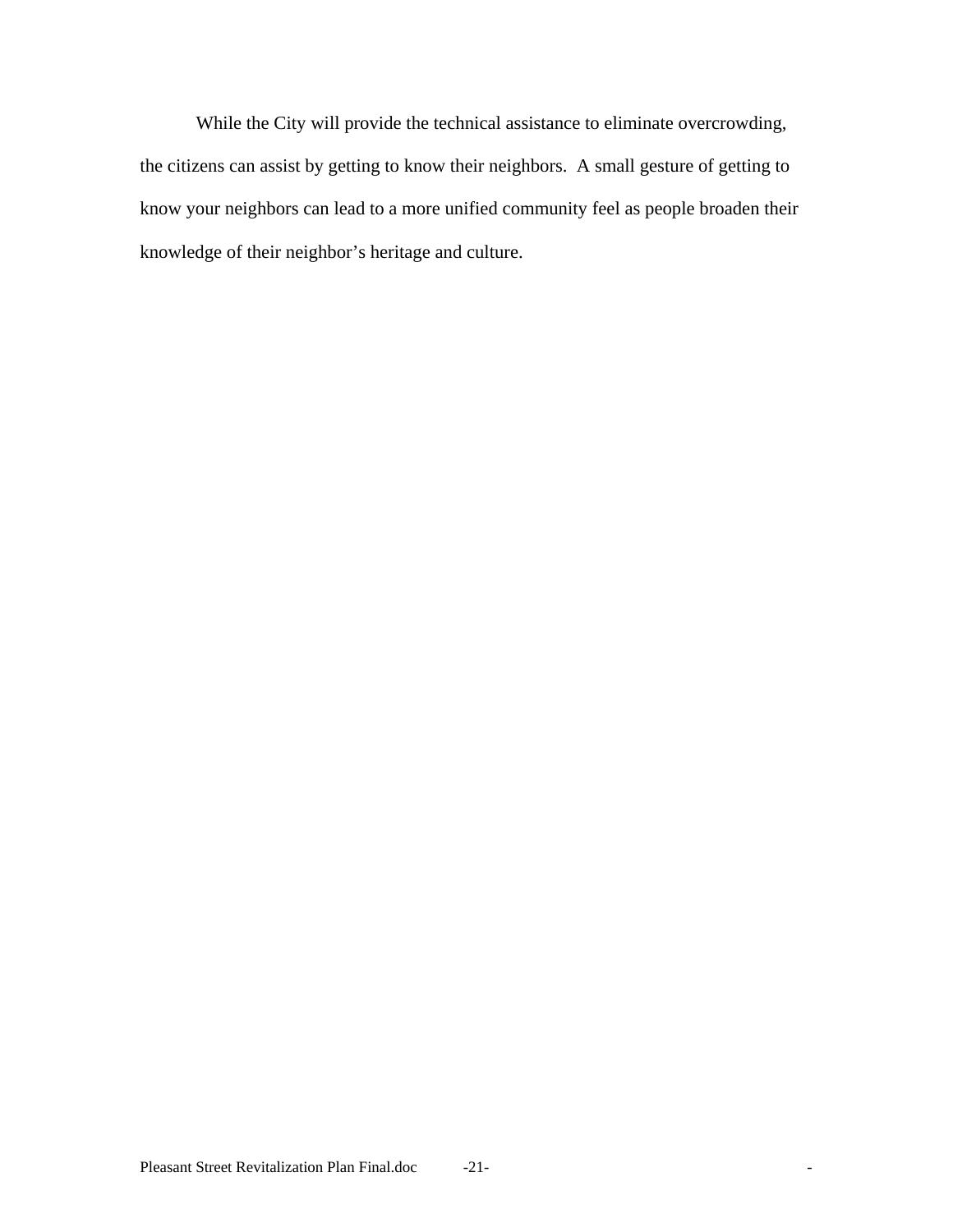While the City will provide the technical assistance to eliminate overcrowding, the citizens can assist by getting to know their neighbors. A small gesture of getting to know your neighbors can lead to a more unified community feel as people broaden their knowledge of their neighbor's heritage and culture.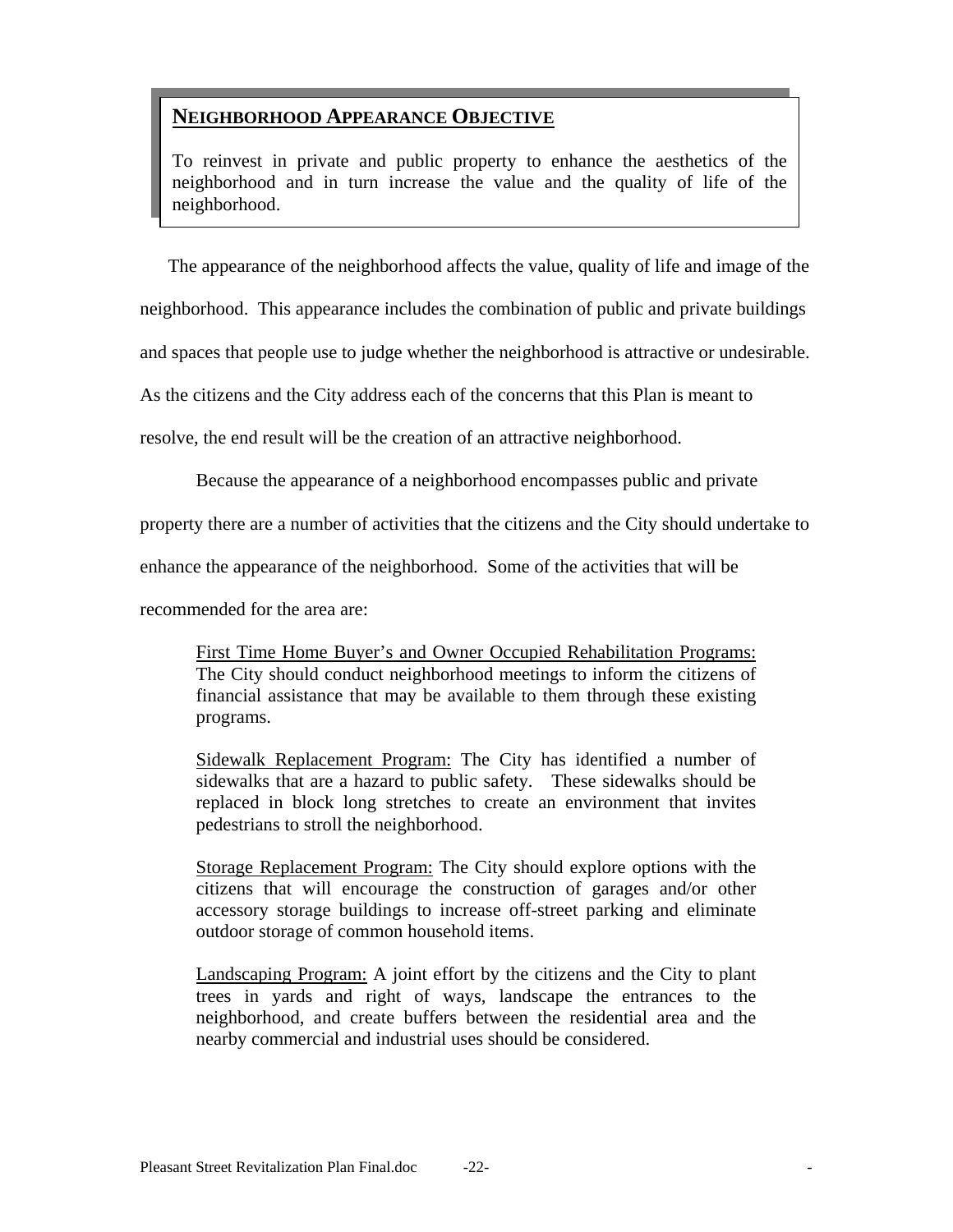## **NEIGHBORHOOD APPEARANCE OBJECTIVE**

To reinvest in private and public property to enhance the aesthetics of the neighborhood and in turn increase the value and the quality of life of the neighborhood.

The appearance of the neighborhood affects the value, quality of life and image of the

neighborhood. This appearance includes the combination of public and private buildings

and spaces that people use to judge whether the neighborhood is attractive or undesirable.

As the citizens and the City address each of the concerns that this Plan is meant to

resolve, the end result will be the creation of an attractive neighborhood.

Because the appearance of a neighborhood encompasses public and private

property there are a number of activities that the citizens and the City should undertake to

enhance the appearance of the neighborhood. Some of the activities that will be

recommended for the area are:

First Time Home Buyer's and Owner Occupied Rehabilitation Programs: The City should conduct neighborhood meetings to inform the citizens of financial assistance that may be available to them through these existing programs.

Sidewalk Replacement Program: The City has identified a number of sidewalks that are a hazard to public safety. These sidewalks should be replaced in block long stretches to create an environment that invites pedestrians to stroll the neighborhood.

Storage Replacement Program: The City should explore options with the citizens that will encourage the construction of garages and/or other accessory storage buildings to increase off-street parking and eliminate outdoor storage of common household items.

Landscaping Program: A joint effort by the citizens and the City to plant trees in yards and right of ways, landscape the entrances to the neighborhood, and create buffers between the residential area and the nearby commercial and industrial uses should be considered.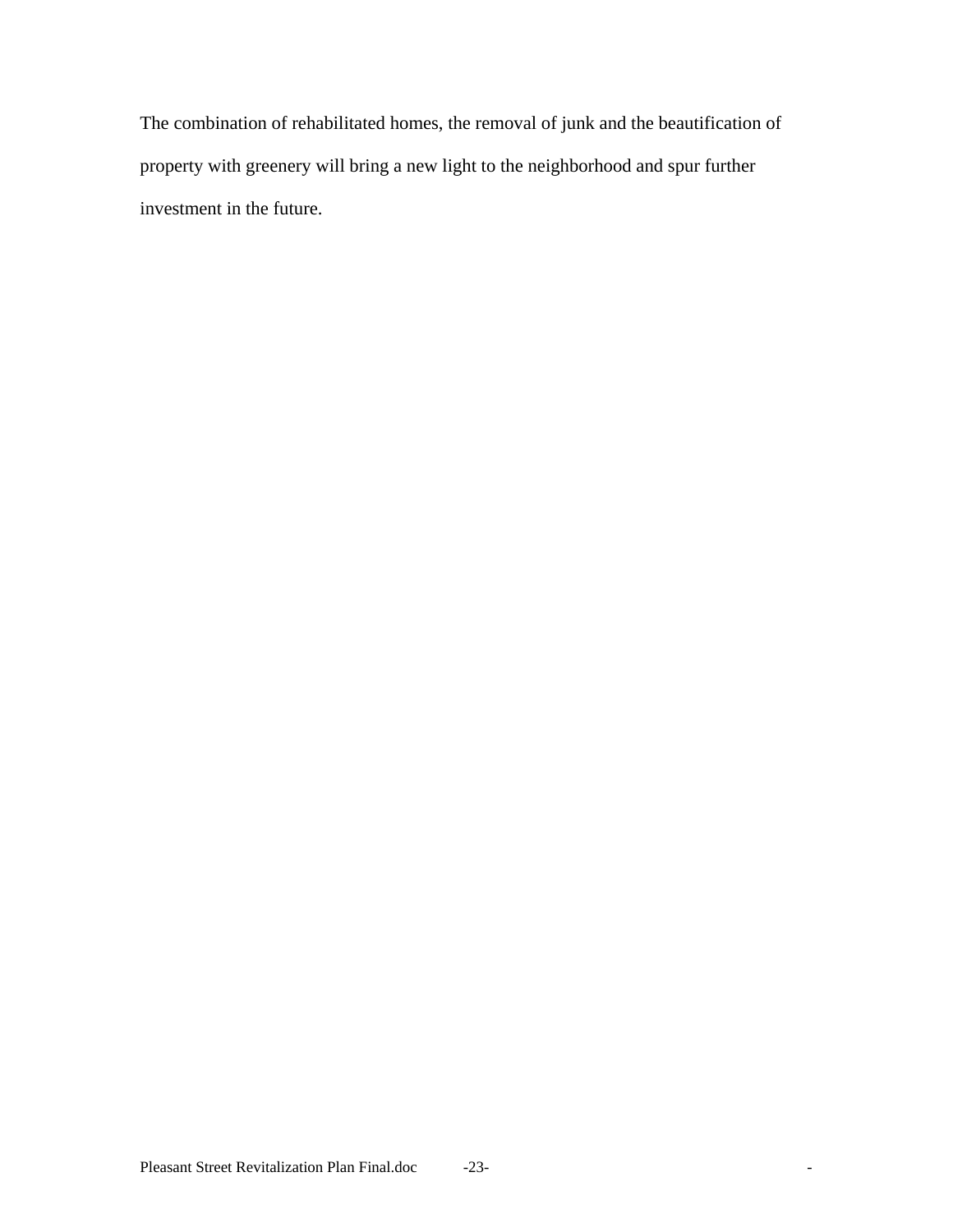The combination of rehabilitated homes, the removal of junk and the beautification of property with greenery will bring a new light to the neighborhood and spur further investment in the future.